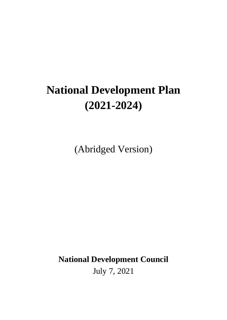# **National Development Plan (2021-2024)**

(Abridged Version)

**National Development Council** July 7, 2021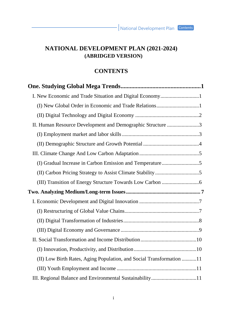# **NATIONAL DEVELOPMENT PLAN (2021-2024) (ABRIDGED VERSION)**

# **CONTENTS**

| I. New Economic and Trade Situation and Digital Economy1             |
|----------------------------------------------------------------------|
|                                                                      |
|                                                                      |
| II. Human Resource Development and Demographic Structure 3           |
|                                                                      |
|                                                                      |
|                                                                      |
|                                                                      |
|                                                                      |
|                                                                      |
|                                                                      |
|                                                                      |
|                                                                      |
|                                                                      |
|                                                                      |
|                                                                      |
|                                                                      |
| (II) Low Birth Rates, Aging Population, and Social Transformation 11 |
|                                                                      |
| III. Regional Balance and Environmental Sustainability11             |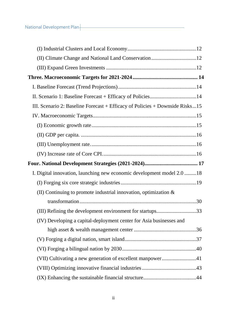| III. Scenario 2: Baseline Forecast + Efficacy of Policies + Downside Risks15 |  |
|------------------------------------------------------------------------------|--|
|                                                                              |  |
|                                                                              |  |
|                                                                              |  |
|                                                                              |  |
|                                                                              |  |
|                                                                              |  |
| I. Digital innovation, launching new economic development model 2.0 18       |  |
|                                                                              |  |
| (II) Continuing to promote industrial innovation, optimization $\&$          |  |
|                                                                              |  |
| (III) Refining the development environment for startups33                    |  |
| (IV) Developing a capital-deployment center for Asia businesses and          |  |
|                                                                              |  |
|                                                                              |  |
|                                                                              |  |
| (VII) Cultivating a new generation of excellent manpower41                   |  |
|                                                                              |  |
|                                                                              |  |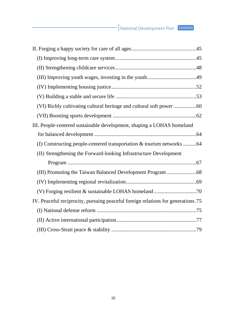| III. People-centered sustainable development, shaping a LOHAS homeland           |  |
|----------------------------------------------------------------------------------|--|
|                                                                                  |  |
| (I) Constructing people-centered transportation & tourism networks 64            |  |
| (II) Strengthening the Forward-looking Infrastructure Development                |  |
|                                                                                  |  |
|                                                                                  |  |
|                                                                                  |  |
|                                                                                  |  |
| IV. Peaceful reciprocity, pursuing peaceful foreign relations for generations.75 |  |
|                                                                                  |  |
|                                                                                  |  |
|                                                                                  |  |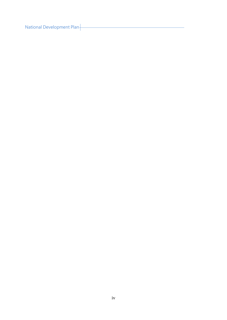National Development Plan<br>
Handel Contract Contract Contract Contract Contract Contract Contract Contract Contract Contract Contract Contract Contract Contract Contract Contract Contract Contract Contract Contract Contract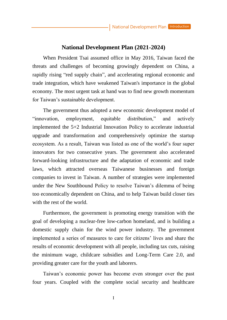## **National Development Plan (2021-2024)**

When President Tsai assumed office in May 2016, Taiwan faced the threats and challenges of becoming growingly dependent on China, a rapidly rising "red supply chain", and accelerating regional economic and trade integration, which have weakened Taiwan's importance in the global economy. The most urgent task at hand was to find new growth momentum for Taiwan's sustainable development.

The government thus adopted a new economic development model of "innovation, employment, equitable distribution," and actively implemented the 5+2 Industrial Innovation Policy to accelerate industrial upgrade and transformation and comprehensively optimize the startup ecosystem. As a result, Taiwan was listed as one of the world's four super innovators for two consecutive years. The government also accelerated forward-looking infrastructure and the adaptation of economic and trade laws, which attracted overseas Taiwanese businesses and foreign companies to invest in Taiwan. A number of strategies were implemented under the New Southbound Policy to resolve Taiwan's dilemma of being too economically dependent on China, and to help Taiwan build closer ties with the rest of the world.

Furthermore, the government is promoting energy transition with the goal of developing a nuclear-free low-carbon homeland, and is building a domestic supply chain for the wind power industry. The government implemented a series of measures to care for citizens' lives and share the results of economic development with all people, including tax cuts, raising the minimum wage, childcare subsidies and Long-Term Care 2.0, and providing greater care for the youth and laborers.

Taiwan's economic power has become even stronger over the past four years. Coupled with the complete social security and healthcare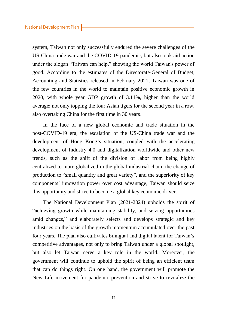system, Taiwan not only successfully endured the severe challenges of the US-China trade war and the COVID-19 pandemic, but also took aid action under the slogan "Taiwan can help," showing the world Taiwan's power of good. According to the estimates of the Directorate-General of Budget, Accounting and Statistics released in February 2021, Taiwan was one of the few countries in the world to maintain positive economic growth in 2020, with whole year GDP growth of 3.11%, higher than the world average; not only topping the four Asian tigers for the second year in a row, also overtaking China for the first time in 30 years.

In the face of a new global economic and trade situation in the post-COVID-19 era, the escalation of the US-China trade war and the development of Hong Kong's situation, coupled with the accelerating development of Industry 4.0 and digitalization worldwide and other new trends, such as the shift of the division of labor from being highly centralized to more globalized in the global industrial chain, the change of production to "small quantity and great variety", and the superiority of key components' innovation power over cost advantage, Taiwan should seize this opportunity and strive to become a global key economic driver.

The National Development Plan (2021-2024) upholds the spirit of "achieving growth while maintaining stability, and seizing opportunities amid changes," and elaborately selects and develops strategic and key industries on the basis of the growth momentum accumulated over the past four years. The plan also cultivates bilingual and digital talent for Taiwan's competitive advantages, not only to bring Taiwan under a global spotlight, but also let Taiwan serve a key role in the world. Moreover, the government will continue to uphold the spirit of being an efficient team that can do things right. On one hand, the government will promote the New Life movement for pandemic prevention and strive to revitalize the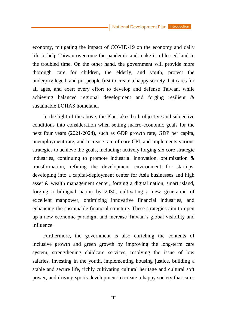National Development Plan Introduction

economy, mitigating the impact of COVID-19 on the economy and daily life to help Taiwan overcome the pandemic and make it a blessed land in the troubled time. On the other hand, the government will provide more thorough care for children, the elderly, and youth, protect the underprivileged, and put people first to create a happy society that cares for all ages, and exert every effort to develop and defense Taiwan, while achieving balanced regional development and forging resilient & sustainable LOHAS homeland.

In the light of the above, the Plan takes both objective and subjective conditions into consideration when setting macro-economic goals for the next four years (2021-2024), such as GDP growth rate, GDP per capita, unemployment rate, and increase rate of core CPI, and implements various strategies to achieve the goals, including: actively forging six core strategic industries, continuing to promote industrial innovation, optimization  $\&$ transformation, refining the development environment for startups, developing into a capital-deployment center for Asia businesses and high asset & wealth management center, forging a digital nation, smart island, forging a bilingual nation by 2030, cultivating a new generation of excellent manpower, optimizing innovative financial industries, and enhancing the sustainable financial structure. These strategies aim to open up a new economic paradigm and increase Taiwan's global visibility and influence.

Furthermore, the government is also enriching the contents of inclusive growth and green growth by improving the long-term care system, strengthening childcare services, resolving the issue of low salaries, investing in the youth, implementing housing justice, building a stable and secure life, richly cultivating cultural heritage and cultural soft power, and driving sports development to create a happy society that cares

III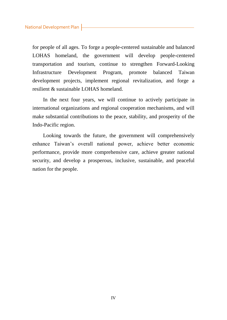for people of all ages. To forge a people-centered sustainable and balanced LOHAS homeland, the government will develop people-centered transportation and tourism, continue to strengthen Forward-Looking Infrastructure Development Program, promote balanced Taiwan development projects, implement regional revitalization, and forge a resilient & sustainable LOHAS homeland.

In the next four years, we will continue to actively participate in international organizations and regional cooperation mechanisms, and will make substantial contributions to the peace, stability, and prosperity of the Indo-Pacific region.

Looking towards the future, the government will comprehensively enhance Taiwan's overall national power, achieve better economic performance, provide more comprehensive care, achieve greater national security, and develop a prosperous, inclusive, sustainable, and peaceful nation for the people.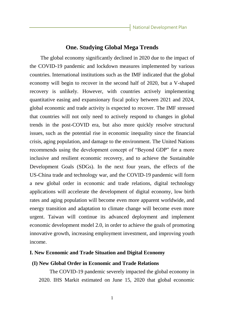# **One. Studying Global Mega Trends**

The global economy significantly declined in 2020 due to the impact of the COVID-19 pandemic and lockdown measures implemented by various countries. International institutions such as the IMF indicated that the global economy will begin to recover in the second half of 2020, but a V-shaped recovery is unlikely. However, with countries actively implementing quantitative easing and expansionary fiscal policy between 2021 and 2024, global economic and trade activity is expected to recover. The IMF stressed that countries will not only need to actively respond to changes in global trends in the post-COVID era, but also more quickly resolve structural issues, such as the potential rise in economic inequality since the financial crisis, aging population, and damage to the environment. The United Nations recommends using the development concept of "Beyond GDP" for a more inclusive and resilient economic recovery, and to achieve the Sustainable Development Goals (SDGs). In the next four years, the effects of the US-China trade and technology war, and the COVID-19 pandemic will form a new global order in economic and trade relations, digital technology applications will accelerate the development of digital economy, low birth rates and aging population will become even more apparent worldwide, and energy transition and adaptation to climate change will become even more urgent. Taiwan will continue its advanced deployment and implement economic development model 2.0, in order to achieve the goals of promoting innovative growth, increasing employment investment, and improving youth income.

#### **I. New Economic and Trade Situation and Digital Economy**

#### **(I) New Global Order in Economic and Trade Relations**

The COVID-19 pandemic severely impacted the global economy in 2020. IHS Markit estimated on June 15, 2020 that global economic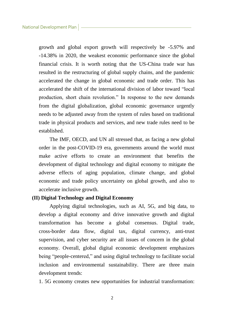growth and global export growth will respectively be -5.97% and -14.38% in 2020, the weakest economic performance since the global financial crisis. It is worth noting that the US-China trade war has resulted in the restructuring of global supply chains, and the pandemic accelerated the change in global economic and trade order. This has accelerated the shift of the international division of labor toward "local production, short chain revolution." In response to the new demands from the digital globalization, global economic governance urgently needs to be adjusted away from the system of rules based on traditional trade in physical products and services, and new trade rules need to be established.

The IMF, OECD, and UN all stressed that, as facing a new global order in the post-COVID-19 era, governments around the world must make active efforts to create an environment that benefits the development of digital technology and digital economy to mitigate the adverse effects of aging population, climate change, and global economic and trade policy uncertainty on global growth, and also to accelerate inclusive growth.

#### **(II) Digital Technology and Digital Economy**

Applying digital technologies, such as AI, 5G, and big data, to develop a digital economy and drive innovative growth and digital transformation has become a global consensus. Digital trade, cross-border data flow, digital tax, digital currency, anti-trust supervision, and cyber security are all issues of concern in the global economy. Overall, global digital economic development emphasizes being "people-centered," and using digital technology to facilitate social inclusion and environmental sustainability. There are three main development trends:

1. 5G economy creates new opportunities for industrial transformation: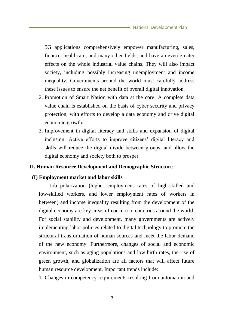5G applications comprehensively empower manufacturing, sales, finance, healthcare, and many other fields, and have an even greater effects on the whole industrial value chains. They will also impact society, including possibly increasing unemployment and income inequality. Governments around the world must carefully address these issues to ensure the net benefit of overall digital innovation.

- 2. Promotion of Smart Nation with data at the core: A complete data value chain is established on the basis of cyber security and privacy protection, with efforts to develop a data economy and drive digital economic growth.
- 3. Improvement in digital literacy and skills and expansion of digital inclusion: Active efforts to improve citizens' digital literacy and skills will reduce the digital divide between groups, and allow the digital economy and society both to prosper.

#### **II. Human Resource Development and Demographic Structure**

#### **(I) Employment market and labor skills**

Job polarization (higher employment rates of high-skilled and low-skilled workers, and lower employment rates of workers in between) and income inequality resulting from the development of the digital economy are key areas of concern to countries around the world. For social stability and development, many governments are actively implementing labor policies related to digital technology to promote the structural transformation of human sources and meet the labor demand of the new economy. Furthermore, changes of social and economic environment, such as aging populations and low birth rates, the rise of green growth, and globalization are all factors that will affect future human resource development. Important trends include:

1. Changes in competency requirements resulting from automation and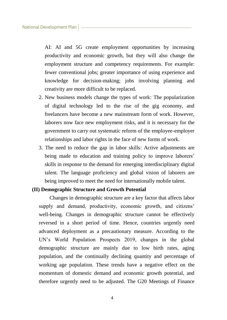AI: AI and 5G create employment opportunities by increasing productivity and economic growth, but they will also change the employment structure and competency requirements. For example: fewer conventional jobs; greater importance of using experience and knowledge for decision-making; jobs involving planning and creativity are more difficult to be replaced.

- 2. New business models change the types of work: The popularization of digital technology led to the rise of the gig economy, and freelancers have become a new mainstream form of work. However, laborers now face new employment risks, and it is necessary for the government to carry out systematic reform of the employee-employer relationships and labor rights in the face of new forms of work.
- 3. The need to reduce the gap in labor skills: Active adjustments are being made to education and training policy to improve laborers' skills in response to the demand for emerging interdisciplinary digital talent. The language proficiency and global vision of laborers are being improved to meet the need for internationally mobile talent.

#### **(II) Demographic Structure and Growth Potential**

Changes in demographic structure are a key factor that affects labor supply and demand, productivity, economic growth, and citizens' well-being. Changes in demographic structure cannot be effectively reversed in a short period of time. Hence, countries urgently need advanced deployment as a precautionary measure. According to the UN's World Population Prospects 2019, changes in the global demographic structure are mainly due to low birth rates, aging population, and the continually declining quantity and percentage of working age population. These trends have a negative effect on the momentum of domestic demand and economic growth potential, and therefore urgently need to be adjusted. The G20 Meetings of Finance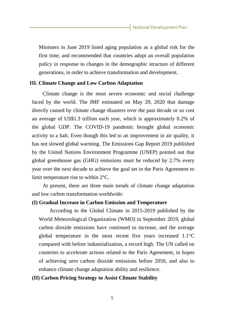Ministers in June 2019 listed aging population as a global risk for the first time, and recommended that countries adopt an overall population policy in response to changes in the demographic structure of different generations, in order to achieve transformation and development.

#### **III. Climate Change and Low Carbon Adaptation**

Climate change is the most severe economic and social challenge faced by the world. The IMF estimated on May 29, 2020 that damage directly caused by climate change disasters over the past decade or so cost an average of US\$1.3 trillion each year, which is approximately 0.2% of the global GDP. The COVID-19 pandemic brought global economic activity to a halt. Even though this led to an improvement in air quality, it has not slowed global warming. The Emissions Gap Report 2019 published by the United Nations Environment Programme (UNEP) pointed out that global greenhouse gas (GHG) emissions must be reduced by 2.7% every year over the next decade to achieve the goal set in the Paris Agreement to limit temperature rise to within 2°C.

At present, there are three main trends of climate change adaptation and low carbon transformation worldwide:

#### **(I) Gradual Increase in Carbon Emission and Temperature**

According to the Global Climate in 2015-2019 published by the World Meteorological Organization (WMO) in September 2019, global carbon dioxide emissions have continued to increase, and the average global temperature in the most recent five years increased 1.1°C compared with before industrialization, a record high. The UN called on countries to accelerate actions related to the Paris Agreement, in hopes of achieving zero carbon dioxide emissions before 2050, and also to enhance climate change adaptation ability and resilience.

#### **(II) Carbon Pricing Strategy to Assist Climate Stability**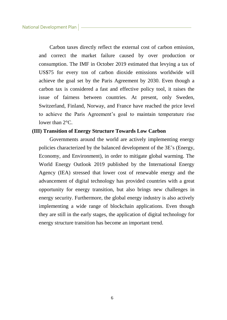Carbon taxes directly reflect the external cost of carbon emission, and correct the market failure caused by over production or consumption. The IMF in October 2019 estimated that levying a tax of US\$75 for every ton of carbon dioxide emissions worldwide will achieve the goal set by the Paris Agreement by 2030. Even though a carbon tax is considered a fast and effective policy tool, it raises the issue of fairness between countries. At present, only Sweden, Switzerland, Finland, Norway, and France have reached the price level to achieve the Paris Agreement's goal to maintain temperature rise lower than 2°C.

#### **(III) Transition of Energy Structure Towards Low Carbon**

Governments around the world are actively implementing energy policies characterized by the balanced development of the 3E's (Energy, Economy, and Environment), in order to mitigate global warming. The World Energy Outlook 2019 published by the International Energy Agency (IEA) stressed that lower cost of renewable energy and the advancement of digital technology has provided countries with a great opportunity for energy transition, but also brings new challenges in energy security. Furthermore, the global energy industry is also actively implementing a wide range of blockchain applications. Even though they are still in the early stages, the application of digital technology for energy structure transition has become an important trend.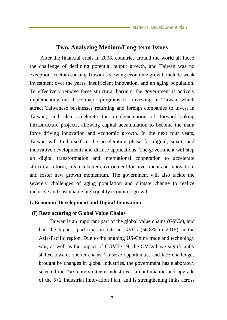# **Two. Analyzing Medium/Long-term Issues**

After the financial crisis in 2008, countries around the world all faced the challenge of declining potential output growth, and Taiwan was no exception. Factors causing Taiwan's slowing economic growth include weak investment over the years, insufficient innovation, and an aging population. To effectively remove these structural barriers, the government is actively implementing the three major programs for investing in Taiwan, which attract Taiwanese businesses returning and foreign companies to invest in Taiwan, and also accelerate the implementation of forward-looking infrastructure projects, allowing capital accumulation to become the main force driving innovation and economic growth. In the next four years, Taiwan will find itself in the acceleration phase for digital, smart, and innovative developments and diffuse applications. The government will step up digital transformation and international cooperation to accelerate structural reform, create a better environment for investment and innovation, and foster new growth momentum. The government will also tackle the severely challenges of aging population and climate change to realize inclusive and sustainable high quality economic growth.

#### **I. Economic Development and Digital Innovation**

#### **(I) Restructuring of Global Value Chains**

Taiwan is an important part of the global value chains (GVCs), and had the highest participation rate in GVCs (56.8% in 2015) in the Asia-Pacific region. Due to the ongoing US-China trade and technology war, as well as the impact of COVID-19, the GVCs have significantly shifted towards shorter chains. To seize opportunities and face challenges brought by changes in global industries, the government has elaborately selected the "six core strategic industries", a continuation and upgrade of the 5+2 Industrial Innovation Plan, and is strengthening links across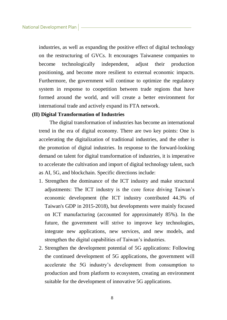industries, as well as expanding the positive effect of digital technology on the restructuring of GVCs. It encourages Taiwanese companies to become technologically independent, adjust their production positioning, and become more resilient to external economic impacts. Furthermore, the government will continue to optimize the regulatory system in response to coopetition between trade regions that have formed around the world, and will create a better environment for international trade and actively expand its FTA network.

#### **(II) Digital Transformation of Industries**

The digital transformation of industries has become an international trend in the era of digital economy. There are two key points: One is accelerating the digitalization of traditional industries, and the other is the promotion of digital industries. In response to the forward-looking demand on talent for digital transformation of industries, it is imperative to accelerate the cultivation and import of digital technology talent, such as AI, 5G, and blockchain. Specific directions include:

- 1. Strengthen the dominance of the ICT industry and make structural adjustments: The ICT industry is the core force driving Taiwan's economic development (the ICT industry contributed 44.3% of Taiwan's GDP in 2015-2018), but developments were mainly focused on ICT manufacturing (accounted for approximately 85%). In the future, the government will strive to improve key technologies, integrate new applications, new services, and new models, and strengthen the digital capabilities of Taiwan's industries.
- 2. Strengthen the development potential of 5G applications: Following the continued development of 5G applications, the government will accelerate the 5G industry's development from consumption to production and from platform to ecosystem, creating an environment suitable for the development of innovative 5G applications.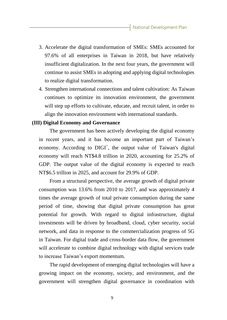- 3. Accelerate the digital transformation of SMEs: SMEs accounted for 97.6% of all enterprises in Taiwan in 2018, but have relatively insufficient digitalization. In the next four years, the government will continue to assist SMEs in adopting and applying digital technologies to realize digital transformation.
- 4. Strengthen international connections and talent cultivation: As Taiwan continues to optimize its innovation environment, the government will step up efforts to cultivate, educate, and recruit talent, in order to align the innovation environment with international standards.

#### **(III) Digital Economy and Governance**

The government has been actively developing the digital economy in recent years, and it has become an important part of Taiwan's economy. According to DIGI<sup>+</sup>, the output value of Taiwan's digital economy will reach NT\$4.8 trillion in 2020, accounting for 25.2% of GDP. The output value of the digital economy is expected to reach NT\$6.5 trillion in 2025, and account for 29.9% of GDP.

From a structural perspective, the average growth of digital private consumption was 13.6% from 2010 to 2017, and was approximately 4 times the average growth of total private consumption during the same period of time, showing that digital private consumption has great potential for growth. With regard to digital infrastructure, digital investments will be driven by broadband, cloud, cyber security, social network, and data in response to the commercialization progress of 5G in Taiwan. For digital trade and cross-border data flow, the government will accelerate to combine digital technology with digital services trade to increase Taiwan's export momentum.

The rapid development of emerging digital technologies will have a growing impact on the economy, society, and environment, and the government will strengthen digital governance in coordination with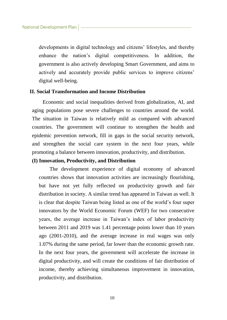developments in digital technology and citizens' lifestyles, and thereby enhance the nation's digital competitiveness. In addition, the government is also actively developing Smart Government, and aims to actively and accurately provide public services to improve citizens' digital well-being.

#### **II. Social Transformation and Income Distribution**

Economic and social inequalities derived from globalization, AI, and aging populations pose severe challenges to countries around the world. The situation in Taiwan is relatively mild as compared with advanced countries. The government will continue to strengthen the health and epidemic prevention network, fill in gaps in the social security network, and strengthen the social care system in the next four years, while promoting a balance between innovation, productivity, and distribution.

#### **(I) Innovation, Productivity, and Distribution**

The development experience of digital economy of advanced countries shows that innovation activities are increasingly flourishing, but have not yet fully reflected on productivity growth and fair distribution in society. A similar trend has appeared in Taiwan as well. It is clear that despite Taiwan being listed as one of the world's four super innovators by the World Economic Forum (WEF) for two consecutive years, the average increase in Taiwan's index of labor productivity between 2011 and 2019 was 1.41 percentage points lower than 10 years ago (2001-2010), and the average increase in real wages was only 1.07% during the same period, far lower than the economic growth rate. In the next four years, the government will accelerate the increase in digital productivity, and will create the conditions of fair distribution of income, thereby achieving simultaneous improvement in innovation, productivity, and distribution.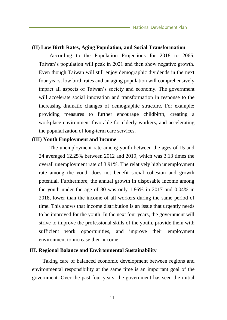#### **(II) Low Birth Rates, Aging Population, and Social Transformation**

According to the Population Projections for 2018 to 2065, Taiwan's population will peak in 2021 and then show negative growth. Even though Taiwan will still enjoy demographic dividends in the next four years, low birth rates and an aging population will comprehensively impact all aspects of Taiwan's society and economy. The government will accelerate social innovation and transformation in response to the increasing dramatic changes of demographic structure. For example: providing measures to further encourage childbirth, creating a workplace environment favorable for elderly workers, and accelerating the popularization of long-term care services.

#### **(III) Youth Employment and Income**

The unemployment rate among youth between the ages of 15 and 24 averaged 12.25% between 2012 and 2019, which was 3.13 times the overall unemployment rate of 3.91%. The relatively high unemployment rate among the youth does not benefit social cohesion and growth potential. Furthermore, the annual growth in disposable income among the youth under the age of 30 was only 1.86% in 2017 and 0.04% in 2018, lower than the income of all workers during the same period of time. This shows that income distribution is an issue that urgently needs to be improved for the youth. In the next four years, the government will strive to improve the professional skills of the youth, provide them with sufficient work opportunities, and improve their employment environment to increase their income.

#### **III. Regional Balance and Environmental Sustainability**

Taking care of balanced economic development between regions and environmental responsibility at the same time is an important goal of the government. Over the past four years, the government has seen the initial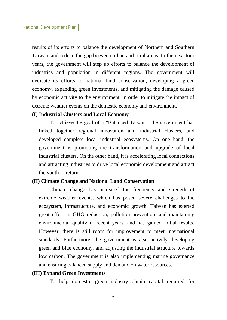results of its efforts to balance the development of Northern and Southern Taiwan, and reduce the gap between urban and rural areas. In the next four years, the government will step up efforts to balance the development of industries and population in different regions. The government will dedicate its efforts to national land conservation, developing a green economy, expanding green investments, and mitigating the damage caused by economic activity to the environment, in order to mitigate the impact of extreme weather events on the domestic economy and environment.

#### **(I) Industrial Clusters and Local Economy**

To achieve the goal of a "Balanced Taiwan," the government has linked together regional innovation and industrial clusters, and developed complete local industrial ecosystems. On one hand, the government is promoting the transformation and upgrade of local industrial clusters. On the other hand, it is accelerating local connections and attracting industries to drive local economic development and attract the youth to return.

#### **(II) Climate Change and National Land Conservation**

Climate change has increased the frequency and strength of extreme weather events, which has posed severe challenges to the ecosystem, infrastructure, and economic growth. Taiwan has exerted great effort in GHG reduction, pollution prevention, and maintaining environmental quality in recent years, and has gained initial results. However, there is still room for improvement to meet international standards. Furthermore, the government is also actively developing green and blue economy, and adjusting the industrial structure towards low carbon. The government is also implementing marine governance and ensuring balanced supply and demand on water resources.

#### **(III) Expand Green Investments**

To help domestic green industry obtain capital required for

12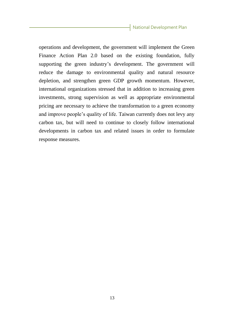operations and development, the government will implement the Green Finance Action Plan 2.0 based on the existing foundation, fully supporting the green industry's development. The government will reduce the damage to environmental quality and natural resource depletion, and strengthen green GDP growth momentum. However, international organizations stressed that in addition to increasing green investments, strong supervision as well as appropriate environmental pricing are necessary to achieve the transformation to a green economy and improve people's quality of life. Taiwan currently does not levy any carbon tax, but will need to continue to closely follow international developments in carbon tax and related issues in order to formulate response measures.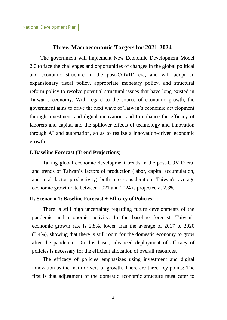### **Three. Macroeconomic Targets for 2021-2024**

The government will implement New Economic Development Model 2.0 to face the challenges and opportunities of changes in the global political and economic structure in the post-COVID era, and will adopt an expansionary fiscal policy, appropriate monetary policy, and structural reform policy to resolve potential structural issues that have long existed in Taiwan's economy. With regard to the source of economic growth, the government aims to drive the next wave of Taiwan's economic development through investment and digital innovation, and to enhance the efficacy of laborers and capital and the spillover effects of technology and innovation through AI and automation, so as to realize a innovation-driven economic growth.

#### **I. Baseline Forecast (Trend Projections)**

Taking global economic development trends in the post-COVID era, and trends of Taiwan's factors of production (labor, capital accumulation, and total factor productivity) both into consideration, Taiwan's average economic growth rate between 2021 and 2024 is projected at 2.8%.

#### **II. Scenario 1: Baseline Forecast + Efficacy of Policies**

There is still high uncertainty regarding future developments of the pandemic and economic activity. In the baseline forecast, Taiwan's economic growth rate is 2.8%, lower than the average of 2017 to 2020 (3.4%), showing that there is still room for the domestic economy to grow after the pandemic. On this basis, advanced deployment of efficacy of policies is necessary for the efficient allocation of overall resources.

The efficacy of policies emphasizes using investment and digital innovation as the main drivers of growth. There are three key points: The first is that adjustment of the domestic economic structure must cater to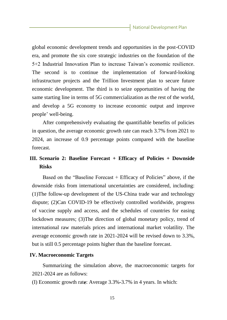global economic development trends and opportunities in the post-COVID era, and promote the six core strategic industries on the foundation of the 5+2 Industrial Innovation Plan to increase Taiwan's economic resilience. The second is to continue the implementation of forward-looking infrastructure projects and the Trillion Investment plan to secure future economic development. The third is to seize opportunities of having the same starting line in terms of 5G commercialization as the rest of the world, and develop a 5G economy to increase economic output and improve people' well-being.

After comprehensively evaluating the quantifiable benefits of policies in question, the average economic growth rate can reach 3.7% from 2021 to 2024, an increase of 0.9 percentage points compared with the baseline forecast.

# **III. Scenario 2: Baseline Forecast + Efficacy of Policies + Downside Risks**

Based on the "Baseline Forecast + Efficacy of Policies" above, if the downside risks from international uncertainties are considered, including: (1)The follow-up development of the US-China trade war and technology dispute; (2)Can COVID-19 be effectively controlled worldwide, progress of vaccine supply and access, and the schedules of countries for easing lockdown measures; (3)The direction of global monetary policy, trend of international raw materials prices and international market volatility. The average economic growth rate in 2021-2024 will be revised down to 3.3%, but is still 0.5 percentage points higher than the baseline forecast.

#### **IV. Macroeconomic Targets**

Summarizing the simulation above, the macroeconomic targets for 2021-2024 are as follows:

(I) Economic growth rat**e**: Average 3.3%-3.7% in 4 years. In which: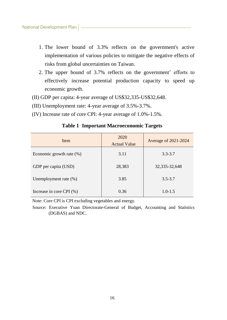- 1. The lower bound of 3.3% reflects on the government's active implementation of various policies to mitigate the negative effects of risks from global uncertainties on Taiwan.
- 2. The upper bound of 3.7% reflects on the government' efforts to effectively increase potential production capacity to speed up economic growth.
- (II) GDP per capita: 4-year average of US\$32,335-US\$32,648.
- (III) Unemployment rate: 4-year average of 3.5%-3.7%.
- (IV) Increase rate of core CPI: 4-year average of 1.0%-1.5%.

| Item                         | 2020<br><b>Actual Value</b> | <b>Average of 2021-2024</b> |
|------------------------------|-----------------------------|-----------------------------|
| Economic growth rate $(\%)$  | 3.11                        | $3.3 - 3.7$                 |
| GDP per capita (USD)         | 28,383                      | 32, 335 - 32, 648           |
| Unemployment rate $(\%)$     | 3.85                        | $3.5 - 3.7$                 |
| Increase in core CPI $(\% )$ | 0.36                        | $1.0 - 1.5$                 |

**Table 1 Important Macroeconomic Targets**

Note: Core CPI is CPI excluding vegetables and energy.

Source: Executive Yuan Directorate-General of Budget, Accounting and Statistics (DGBAS) and NDC.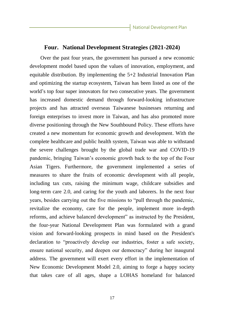## **Four. National Development Strategies (2021-2024)**

Over the past four years, the government has pursued a new economic development model based upon the values of innovation, employment, and equitable distribution. By implementing the 5+2 Industrial Innovation Plan and optimizing the startup ecosystem, Taiwan has been listed as one of the world's top four super innovators for two consecutive years. The government has increased domestic demand through forward-looking infrastructure projects and has attracted overseas Taiwanese businesses returning and foreign enterprises to invest more in Taiwan, and has also promoted more diverse positioning through the New Southbound Policy. These efforts have created a new momentum for economic growth and development. With the complete healthcare and public health system, Taiwan was able to withstand the severe challenges brought by the global trade war and COVID-19 pandemic, bringing Taiwan's economic growth back to the top of the Four Asian Tigers. Furthermore, the government implemented a series of measures to share the fruits of economic development with all people, including tax cuts, raising the minimum wage, childcare subsidies and long-term care 2.0, and caring for the youth and laborers. In the next four years, besides carrying out the five missions to "pull through the pandemic, revitalize the economy, care for the people, implement more in-depth reforms, and achieve balanced development" as instructed by the President, the four-year National Development Plan was formulated with a grand vision and forward-looking prospects in mind based on the President's declaration to "proactively develop our industries, foster a safe society, ensure national security, and deepen our democracy" during her inaugural address. The government will exert every effort in the implementation of New Economic Development Model 2.0, aiming to forge a happy society that takes care of all ages, shape a LOHAS homeland for balanced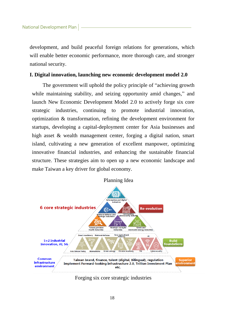development, and build peaceful foreign relations for generations, which will enable better economic performance, more thorough care, and stronger national security.

#### **I. Digital innovation, launching new economic development model 2.0**

The government will uphold the policy principle of "achieving growth while maintaining stability, and seizing opportunity amid changes," and launch New Economic Development Model 2.0 to actively forge six core strategic industries, continuing to promote industrial innovation, optimization & transformation, refining the development environment for startups, developing a capital-deployment center for Asia businesses and high asset & wealth management center, forging a digital nation, smart island, cultivating a new generation of excellent manpower, optimizing innovative financial industries, and enhancing the sustainable financial structure. These strategies aim to open up a new economic landscape and make Taiwan a key driver for global economy.



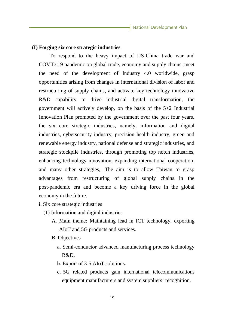#### **(I) Forging six core strategic industries**

To respond to the heavy impact of US-China trade war and COVID-19 pandemic on global trade, economy and supply chains, meet the need of the development of Industry 4.0 worldwide, grasp opportunities arising from changes in international division of labor and restructuring of supply chains, and activate key technology innovative R&D capability to drive industrial digital transformation, the government will actively develop, on the basis of the 5+2 Industrial Innovation Plan promoted by the government over the past four years, the six core strategic industries, namely, information and digital industries, cybersecurity industry, precision health industry, green and renewable energy industry, national defense and strategic industries, and strategic stockpile industries, through promoting top notch industries, enhancing technology innovation, expanding international cooperation, and many other strategies,. The aim is to allow Taiwan to grasp advantages from restructuring of global supply chains in the post-pandemic era and become a key driving force in the global economy in the future.

- i. Six core strategic industries
	- (1) Information and digital industries
		- A. Main theme: Maintaining lead in ICT technology, exporting AIoT and 5G products and services.
		- B. Objectives
			- a. Semi-conductor advanced manufacturing process technology R&D.
			- b. Export of 3-5 AIoT solutions.
			- c. 5G related products gain international telecommunications equipment manufacturers and system suppliers' recognition.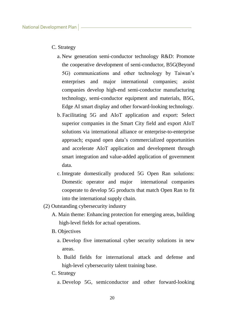#### C. Strategy

- a. New generation semi-conductor technology R&D: Promote the cooperative development of semi-conductor, B5G(Beyond 5G) communications and other technology by Taiwan's enterprises and major international companies; assist companies develop high-end semi-conductor manufacturing technology, semi-conductor equipment and materials, B5G, Edge AI smart display and other forward-looking technology.
- b. Facilitating 5G and AIoT application and export: Select superior companies in the Smart City field and export AIoT solutions via international alliance or enterprise-to-enterprise approach; expand open data's commercialized opportunities and accelerate AIoT application and development through smart integration and value-added application of government data.
- c. Integrate domestically produced 5G Open Ran solutions: Domestic operator and major international companies cooperate to develop 5G products that match Open Ran to fit into the international supply chain.
- (2) Outstanding cybersecurity industry
	- A. Main theme: Enhancing protection for emerging areas, building high-level fields for actual operations.
	- B. Objectives
		- a. Develop five international cyber security solutions in new areas.
		- b. Build fields for international attack and defense and high-level cybersecurity talent training base.
	- C. Strategy
		- a. Develop 5G, semiconductor and other forward-looking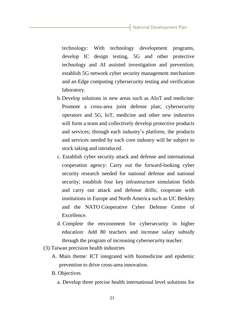technology: With technology development programs, develop IC design testing, 5G and other protective technology and AI assisted investigation and prevention; establish 5G network cyber security management mechanism and an Edge computing cybersecurity testing and verification laboratory.

- b.Develop solutions in new areas such as AIoT and medicine: Promote a cross-area joint defense plan; cybersecurity operators and 5G, IoT, medicine and other new industries will form a team and collectively develop protective products and services; through each industry's platform, the products and services needed by each core industry will be subject to stock taking and introduced.
- c. Establish cyber security attack and defense and international cooperation agency: Carry out the forward-looking cyber security research needed for national defense and national security; establish four key infrastructure simulation fields and carry out attack and defense drills; cooperate with institutions in Europe and North America such as UC Berkley and the NATO Cooperative Cyber Defense Centre of Excellence.
- d. Complete the environment for cybersecurity in higher education: Add 80 teachers and increase salary subsidy through the program of increasing cybersecurity teacher.
- (3) Taiwan precision health industries
	- A. Main theme: ICT integrated with biomedicine and epidemic prevention to drive cross-area innovation.
	- B. Objectives
		- a. Develop three precise health international level solutions for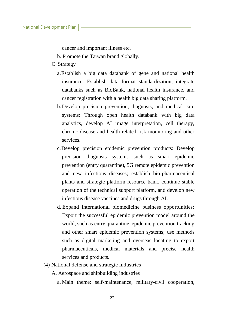cancer and important illness etc.

- b. Promote the Taiwan brand globally.
- C. Strategy
	- a.Establish a big data databank of gene and national health insurance: Establish data format standardization, integrate databanks such as BioBank, national health insurance, and cancer registration with a health big data sharing platform.
	- b.Develop precision prevention, diagnosis, and medical care systems: Through open health databank with big data analytics, develop AI image interpretation, cell therapy, chronic disease and health related risk monitoring and other services.
	- c.Develop precision epidemic prevention products: Develop precision diagnosis systems such as smart epidemic prevention (entry quarantine), 5G remote epidemic prevention and new infectious diseases; establish bio-pharmaceutical plants and strategic platform resource bank, continue stable operation of the technical support platform, and develop new infectious disease vaccines and drugs through AI.
	- d. Expand international biomedicine business opportunities: Export the successful epidemic prevention model around the world, such as entry quarantine, epidemic prevention tracking and other smart epidemic prevention systems; use methods such as digital marketing and overseas locating to export pharmaceuticals, medical materials and precise health services and products.
- (4) National defense and strategic industries
	- A. Aerospace and shipbuilding industries
		- a. Main theme: self-maintenance, military-civil cooperation,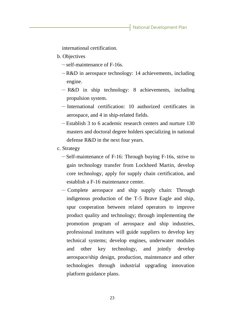international certification.

- b. Objectives
	- $-$ self-maintenance of F-16s.
	- -R&D in aerospace technology: 14 achievements, including engine.
	- $-R&D$  in ship technology: 8 achievements, including propulsion system.
	- -International certification: 10 authorized certificates in aerospace, and 4 in ship-related fields.
	- -Establish 3 to 6 academic research centers and nurture 130 masters and doctoral degree holders specializing in national defense R&D in the next four years.
- c. Strategy
	- -Self-maintenance of F-16: Through buying F-16s, strive to gain technology transfer from Lockheed Martin, develop core technology, apply for supply chain certification, and establish a F-16 maintenance center.
	- Complete aerospace and ship supply chain: Through indigenous production of the T-5 Brave Eagle and ship, spur cooperation between related operators to improve product quality and technology; through implementing the promotion program of aerospace and ship industries, professional institutes will guide suppliers to develop key technical systems; develop engines, underwater modules and other key technology, and jointly develop aerospace/ship design, production, maintenance and other technologies through industrial upgrading innovation platform guidance plans.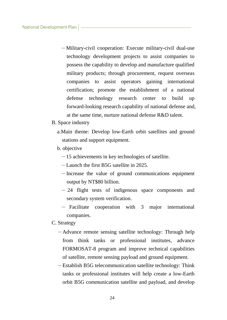- -Military-civil cooperation: Execute military-civil dual-use technology development projects to assist companies to possess the capability to develop and manufacture qualified military products; through procurement, request overseas companies to assist operators gaining international certification; promote the establishment of a national defense technology research center to build up forward-looking research capability of national defense and, at the same time, nurture national defense R&D talent.
- B. Space industry
	- a.Main theme: Develop low-Earth orbit satellites and ground stations and support equipment.
	- b. objective
		- $-15$  achievements in key technologies of satellite.
		- -Launch the first B5G satellite in 2025.
		- -Increase the value of ground communications equipment output by NT\$80 billion.
		- $24$  flight tests of indigenous space components and secondary system verification.
		- Facilitate cooperation with 3 major international companies.
- C. Strategy
	- -Advance remote sensing satellite technology: Through help from think tanks or professional institutes, advance FORMOSAT-8 program and improve technical capabilities of satellite, remote sensing payload and ground equipment.
	- -Establish B5G telecommunication satellite technology: Think tanks or professional institutes will help create a low-Earth orbit B5G communication satellite and payload, and develop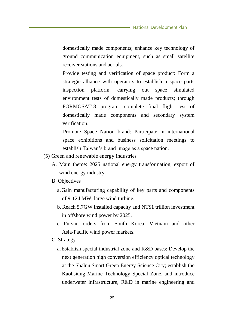domestically made components; enhance key technology of ground communication equipment, such as small satellite receiver stations and aerials.

- -Provide testing and verification of space product: Form a strategic alliance with operators to establish a space parts inspection platform, carrying out space simulated environment tests of domestically made products; through FORMOSAT-8 program, complete final flight test of domestically made components and secondary system verification.
- -Promote Space Nation brand: Participate in international space exhibitions and business solicitation meetings to establish Taiwan's brand image as a space nation.
- (5) Green and renewable energy industries
	- A. Main theme: 2025 national energy transformation, export of wind energy industry.
	- B. Objectives
		- a.Gain manufacturing capability of key parts and components of 9-124 MW, large wind turbine.
		- b. Reach 5.7GW installed capacity and NT\$1 trillion investment in offshore wind power by 2025.
		- c. Pursuit orders from South Korea, Vietnam and other Asia-Pacific wind power markets.
	- C. Strategy
		- a.Establish special industrial zone and R&D bases: Develop the next generation high conversion efficiency optical technology at the Shalun Smart Green Energy Science City; establish the Kaohsiung Marine Technology Special Zone, and introduce underwater infrastructure, R&D in marine engineering and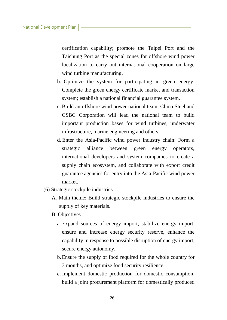certification capability; promote the Taipei Port and the Taichung Port as the special zones for offshore wind power localization to carry out international cooperation on large wind turbine manufacturing.

- b. Optimize the system for participating in green energy: Complete the green energy certificate market and transaction system; establish a national financial guarantee system.
- c. Build an offshore wind power national team: China Steel and CSBC Corporation will lead the national team to build important production bases for wind turbines, underwater infrastructure, marine engineering and others.
- d. Enter the Asia-Pacific wind power industry chain: Form a strategic alliance between green energy operators, international developers and system companies to create a supply chain ecosystem, and collaborate with export credit guarantee agencies for entry into the Asia-Pacific wind power market.
- (6) Strategic stockpile industries
	- A. Main theme: Build strategic stockpile industries to ensure the supply of key materials.
	- B. Objectives
		- a. Expand sources of energy import, stabilize energy import, ensure and increase energy security reserve, enhance the capability in response to possible disruption of energy import, secure energy autonomy.
		- b.Ensure the supply of food required for the whole country for 3 months, and optimize food security resilience.
		- c. Implement domestic production for domestic consumption, build a joint procurement platform for domestically produced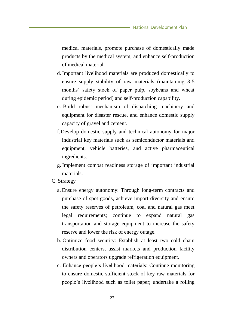medical materials, promote purchase of domestically made products by the medical system, and enhance self-production of medical material.

- d. Important livelihood materials are produced domestically to ensure supply stability of raw materials (maintaining 3-5 months' safety stock of paper pulp, soybeans and wheat during epidemic period) and self-production capability.
- e. Build robust mechanism of dispatching machinery and equipment for disaster rescue, and enhance domestic supply capacity of gravel and cement.
- f.Develop domestic supply and technical autonomy for major industrial key materials such as semiconductor materials and equipment, vehicle batteries, and active pharmaceutical ingredients.
- g. Implement combat readiness storage of important industrial materials.
- C. Strategy
	- a. Ensure energy autonomy: Through long-term contracts and purchase of spot goods, achieve import diversity and ensure the safety reserves of petroleum, coal and natural gas meet legal requirements; continue to expand natural gas transportation and storage equipment to increase the safety reserve and lower the risk of energy outage.
	- b. Optimize food security: Establish at least two cold chain distribution centers, assist markets and production facility owners and operators upgrade refrigeration equipment.
	- c. Enhance people's livelihood materials: Continue monitoring to ensure domestic sufficient stock of key raw materials for people's livelihood such as toilet paper; undertake a rolling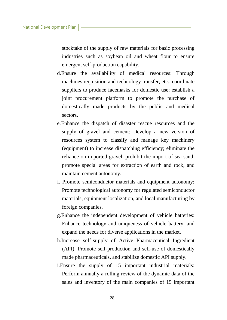stocktake of the supply of raw materials for basic processing industries such as soybean oil and wheat flour to ensure emergent self-production capability.

- d.Ensure the availability of medical resources: Through machines requisition and technology transfer, etc., coordinate suppliers to produce facemasks for domestic use; establish a joint procurement platform to promote the purchase of domestically made products by the public and medical sectors.
- e.Enhance the dispatch of disaster rescue resources and the supply of gravel and cement: Develop a new version of resources system to classify and manage key machinery (equipment) to increase dispatching efficiency; eliminate the reliance on imported gravel, prohibit the import of sea sand, promote special areas for extraction of earth and rock, and maintain cement autonomy.
- f. Promote semiconductor materials and equipment autonomy: Promote technological autonomy for regulated semiconductor materials, equipment localization, and local manufacturing by foreign companies.
- g.Enhance the independent development of vehicle batteries: Enhance technology and uniqueness of vehicle battery, and expand the needs for diverse applications in the market.
- h.Increase self-supply of Active Pharmaceutical Ingredient (API): Promote self-production and self-use of domestically made pharmaceuticals, and stabilize domestic API supply.
- i.Ensure the supply of 15 important industrial materials: Perform annually a rolling review of the dynamic data of the sales and inventory of the main companies of 15 important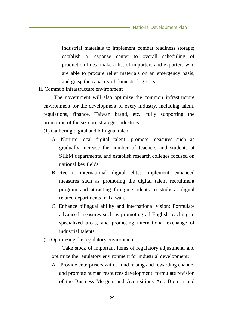industrial materials to implement combat readiness storage; establish a response center to overall scheduling of production lines, make a list of importers and exporters who are able to procure relief materials on an emergency basis, and grasp the capacity of domestic logistics.

ii. Common infrastructure environment

The government will also optimize the common infrastructure environment for the development of every industry, including talent, regulations, finance, Taiwan brand, etc., fully supporting the promotion of the six core strategic industries.

(1) Gathering digital and bilingual talent

- A. Nurture local digital talent: promote measures such as gradually increase the number of teachers and students at STEM departments, and establish research colleges focused on national key fields.
- B. Recruit international digital elite: Implement enhanced measures such as promoting the digital talent recruitment program and attracting foreign students to study at digital related departments in Taiwan.
- C. Enhance bilingual ability and international vision: Formulate advanced measures such as promoting all-English teaching in specialized areas, and promoting international exchange of industrial talents.
- (2) Optimizing the regulatory environment

Take stock of important items of regulatory adjustment, and optimize the regulatory environment for industrial development:

A. Provide enterprisers with a fund raising and rewarding channel and promote human resources development; formulate revision of the Business Mergers and Acquisitions Act, Biotech and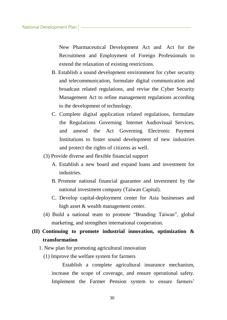New Pharmaceutical Development Act and Act for the Recruitment and Employment of Foreign Professionals to extend the relaxation of existing restrictions.

- B. Establish a sound development environment for cyber security and telecommunication, formulate digital communication and broadcast related regulations, and revise the Cyber Security Management Act to refine management regulations according to the development of technology.
- C. Complete digital application related regulations, formulate the Regulations Governing Internet Audiovisual Services, and amend [the Act Governing Electronic Payment](file:///C:/Users/User/Downloads/searching%3fquery_word1=The%20Act%20Governing%20Electronic%20Payment%20Institutions&query_field1=keyword)  [Institutions](file:///C:/Users/User/Downloads/searching%3fquery_word1=The%20Act%20Governing%20Electronic%20Payment%20Institutions&query_field1=keyword) to foster sound development of new industries and protect the rights of citizens as well.
- (3) Provide diverse and flexible financial support
	- A. Establish a new board and expand loans and investment for industries.
	- B. Promote national financial guarantee and investment by the national investment company (Taiwan Capital).
	- C. Develop capital-deployment center for Asia businesses and high asset & wealth management center.
- (4) Build a national team to promote "Branding Taiwan", global marketing, and strengthen international cooperation.

# **(II) Continuing to promote industrial innovation, optimization & transformation**

- 1. New plan for promoting agricultural innovation
	- (1) Improve the welfare system for farmers

Establish a complete agricultural insurance mechanism, increase the scope of coverage, and ensure operational safety. Implement the Farmer Pension system to ensure farmers'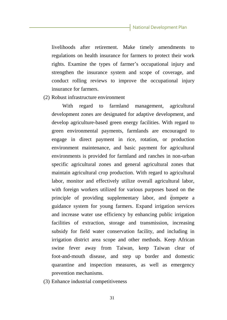livelihoods after retirement. Make timely amendments to regulations on health insurance for farmers to protect their work rights. Examine the types of farmer's occupational injury and strengthen the insurance system and scope of coverage, and conduct rolling reviews to improve the occupational injury insurance for farmers.

(2) Robust infrastructure environment

With regard to farmland management, agricultural development zones are designated for adaptive development, and develop agriculture-based green energy facilities. With regard to green environmental payments, farmlands are encouraged to engage in direct payment in rice, rotation, or production environment maintenance, and basic payment for agricultural environments is provided for farmland and ranches in non-urban specific agricultural zones and general agricultural zones that maintain agricultural crop production. With regard to agricultural labor, monitor and effectively utilize overall agricultural labor, with foreign workers utilized for various purposes based on the principle of providing supplementary labor, and compete a guidance system for young farmers. Expand irrigation services and increase water use efficiency by enhancing public irrigation facilities of extraction, storage and transmission, increasing subsidy for field water conservation facility, and including in irrigation district area scope and other methods. Keep African swine fever away from Taiwan, keep Taiwan clear of foot-and-mouth disease, and step up border and domestic quarantine and inspection measures, as well as emergency prevention mechanisms.

(3) Enhance industrial competitiveness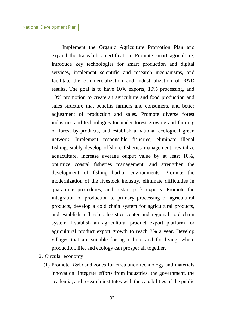Implement the Organic Agriculture Promotion Plan and expand the traceability certification. Promote smart agriculture, introduce key technologies for smart production and digital services, implement scientific and research mechanisms, and facilitate the commercialization and industrialization of R&D results. The goal is to have 10% exports, 10% processing, and 10% promotion to create an agriculture and food production and sales structure that benefits farmers and consumers, and better adjustment of production and sales. Promote diverse forest industries and technologies for under-forest growing and farming of forest by-products, and establish a national ecological green network. Implement responsible fisheries, eliminate illegal fishing, stably develop offshore fisheries management, revitalize aquaculture, increase average output value by at least 10%, optimize coastal fisheries management, and strengthen the development of fishing harbor environments. Promote the modernization of the livestock industry, eliminate difficulties in quarantine procedures, and restart pork exports. Promote the integration of production to primary processing of agricultural products, develop a cold chain system for agricultural products, and establish a flagship logistics center and regional cold chain system. Establish an agricultural product export platform for agricultural product export growth to reach 3% a year. Develop villages that are suitable for agriculture and for living, where production, life, and ecology can prosper all together.

- 2. Circular economy
	- (1) Promote R&D and zones for circulation technology and materials innovation: Integrate efforts from industries, the government, the academia, and research institutes with the capabilities of the public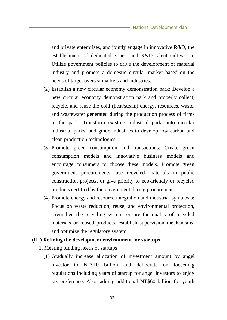and private enterprises, and jointly engage in innovative R&D, the establishment of dedicated zones, and R&D talent cultivation. Utilize government policies to drive the development of material industry and promote a domestic circular market based on the needs of target oversea markets and industries.

- (2) Establish a new circular economy demonstration park: Develop a new circular economy demonstration park and properly collect, recycle, and reuse the cold (heat/steam) energy, resources, waste, and wastewater generated during the production process of firms in the park. Transform existing industrial parks into circular industrial parks, and guide industries to develop low carbon and clean production technologies.
- (3) Promote green consumption and transactions: Create green consumption models and innovative business models and encourage consumers to choose these models. Promote green government procurements, use recycled materials in public construction projects, or give priority to eco-friendly or recycled products certified by the government during procurement.
- (4) Promote energy and resource integration and industrial symbiosis: Focus on waste reduction, reuse, and environmental protection, strengthen the recycling system, ensure the quality of recycled materials or reused products, establish supervision mechanisms, and optimize the regulatory system.

#### **(III) Refining the development environment for startups**

- 1. Meeting funding needs of startups
	- (1) Gradually increase allocation of investment amount by angel investor to NT\$10 billion and deliberate on loosening regulations including years of startup for angel investors to enjoy tax preference. Also, adding additional NT\$60 billion for youth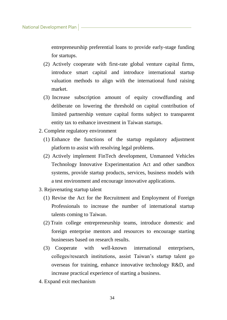entrepreneurship preferential loans to provide early-stage funding for startups.

- (2) Actively cooperate with first-rate global venture capital firms, introduce smart capital and introduce international startup valuation methods to align with the international fund raising market.
- (3) Increase subscription amount of equity crowdfunding and deliberate on lowering the threshold on capital contribution of limited partnership venture capital forms subject to transparent entity tax to enhance investment in Taiwan startups.
- 2. Complete regulatory environment
	- (1) Enhance the functions of the startup regulatory adjustment platform to assist with resolving legal problems.
	- (2) Actively implement FinTech development, [Unmanned Vehicles](https://law.moj.gov.tw/ENG/LawClass/LawAll.aspx?pcode=J0030147)  [Technology Innovative Experimentation Act](https://law.moj.gov.tw/ENG/LawClass/LawAll.aspx?pcode=J0030147) and other sandbox systems, provide startup products, services, business models with a test environment and encourage innovative applications.
- 3. Rejuvenating startup talent
	- (1) Revise the [Act for the Recruitment and Employment of Foreign](https://law.moj.gov.tw/ENG/LawClass/LawAll.aspx?pcode=A0030295)  [Professionals](https://law.moj.gov.tw/ENG/LawClass/LawAll.aspx?pcode=A0030295) to increase the number of international startup talents coming to Taiwan.
	- (2) Train college entrepreneurship teams, introduce domestic and foreign enterprise mentors and resources to encourage starting businesses based on research results.
	- (3) Cooperate with well-known international enterprisers, colleges/research institutions, assist Taiwan's startup talent go overseas for training, enhance innovative technology R&D, and increase practical experience of starting a business.
- 4. Expand exit mechanism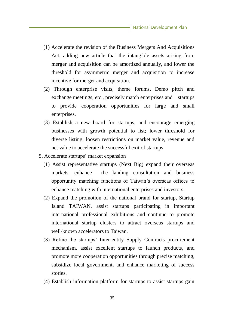- (1) Accelerate the revision of the [Business Mergers And Acquisitions](https://law.moj.gov.tw/ENG/LawClass/LawAll.aspx?pcode=J0080041)  [Act,](https://law.moj.gov.tw/ENG/LawClass/LawAll.aspx?pcode=J0080041) adding new article that the intangible assets arising from merger and acquisition can be amortized annually, and lower the threshold for asymmetric merger and acquisition to increase incentive for merger and acquisition.
- (2) Through enterprise visits, theme forums, Demo pitch and exchange meetings, etc., precisely match enterprises and startups to provide cooperation opportunities for large and small enterprises.
- (3) Establish a new board for startups, and encourage emerging businesses with growth potential to list; lower threshold for diverse listing, loosen restrictions on market value, revenue and net value to accelerate the successful exit of startups.
- 5. Accelerate startups' market expansion
	- (1) Assist representative startups (Next Big) expand their overseas markets, enhance the landing consultation and business opportunity matching functions of Taiwan's overseas offices to enhance matching with international enterprises and investors.
	- (2) Expand the promotion of the national brand for startup, Startup Island TAIWAN, assist startups participating in important international professional exhibitions and continue to promote international startup clusters to attract overseas startups and well-known accelerators to Taiwan.
	- (3) Refine the startups' Inter-entity Supply Contracts procurement mechanism, assist excellent startups to launch products, and promote more cooperation opportunities through precise matching, subsidize local government, and enhance marketing of success stories.
	- (4) Establish information platform for startups to assist startups gain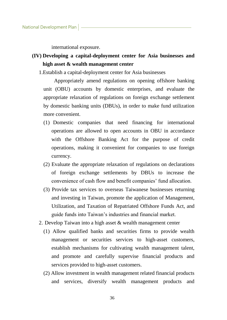international exposure.

# **(IV) Developing a capital-deployment center for Asia businesses and high asset & wealth management center**

1.Establish a capital-deployment center for Asia businesses

Appropriately amend regulations on opening offshore banking unit (OBU) accounts by domestic enterprises, and evaluate the appropriate relaxation of regulations on foreign exchange settlement by domestic banking units (DBUs), in order to make fund utilization more convenient.

- (1) Domestic companies that need financing for international operations are allowed to open accounts in OBU in accordance with the Offshore Banking Act for the purpose of credit operations, making it convenient for companies to use foreign currency.
- (2) Evaluate the appropriate relaxation of regulations on declarations of foreign exchange settlements by DBUs to increase the convenience of cash flow and benefit companies' fund allocation.
- (3) Provide tax services to overseas Taiwanese businesses returning and investing in Taiwan, promote the application of Management, Utilization, and Taxation of Repatriated Offshore Funds Act, and guide funds into Taiwan's industries and financial market.
- 2. Develop Taiwan into a high asset & wealth management center
	- (1) Allow qualified banks and securities firms to provide wealth management or securities services to high-asset customers, establish mechanisms for cultivating wealth management talent, and promote and carefully supervise financial products and services provided to high-asset customers.
	- (2) Allow investment in wealth management related financial products and services, diversify wealth management products and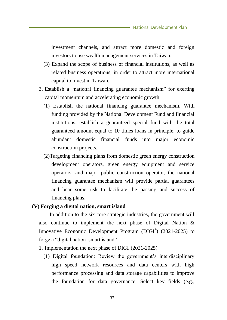investment channels, and attract more domestic and foreign investors to use wealth management services in Taiwan.

- (3) Expand the scope of business of financial institutions, as well as related business operations, in order to attract more international capital to invest in Taiwan.
- 3. Establish a "national financing guarantee mechanism" for exerting capital momentum and accelerating economic growth
	- (1) Establish the national financing guarantee mechanism. With funding provided by the National Development Fund and financial institutions, establish a guaranteed special fund with the total guaranteed amount equal to 10 times loans in principle, to guide abundant domestic financial funds into major economic construction projects.
	- (2)Targeting financing plans from domestic green energy construction development operators, green energy equipment and service operators, and major public construction operator, the national financing guarantee mechanism will provide partial guarantees and bear some risk to facilitate the passing and success of financing plans.

# **(V) Forging a digital nation, smart island**

In addition to the six core strategic industries, the government will also continue to implement the next phase of Digital Nation & Innovative Economic Development Program (DIGI<sup>+</sup>) (2021-2025) to forge a "digital nation, smart island."

1. Implementation the next phase of DIGI+(2021-2025)

(1) Digital foundation: Review the government's interdisciplinary high speed network resources and data centers with high performance processing and data storage capabilities to improve the foundation for data governance. Select key fields (e.g.,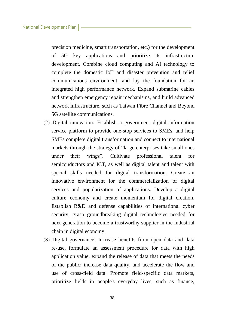precision medicine, smart transportation, etc.) for the development of 5G key applications and prioritize its infrastructure development. Combine cloud computing and AI technology to complete the domestic IoT and disaster prevention and relief communications environment, and lay the foundation for an integrated high performance network. Expand submarine cables and strengthen emergency repair mechanisms, and build advanced network infrastructure, such as Taiwan Fibre Channel and Beyond 5G satellite communications.

- (2) Digital innovation: Establish a government digital information service platform to provide one-stop services to SMEs, and help SMEs complete digital transformation and connect to international markets through the strategy of "large enterprises take small ones under their wings". Cultivate professional talent for semiconductors and ICT, as well as digital talent and talent with special skills needed for digital transformation. Create an innovative environment for the commercialization of digital services and popularization of applications. Develop a digital culture economy and create momentum for digital creation. Establish R&D and defense capabilities of international cyber security, grasp groundbreaking digital technologies needed for next generation to become a trustworthy supplier in the industrial chain in digital economy.
- (3) Digital governance: Increase benefits from open data and data re-use, formulate an assessment procedure for data with high application value, expand the release of data that meets the needs of the public; increase data quality, and accelerate the flow and use of cross-field data. Promote field-specific data markets, prioritize fields in people's everyday lives, such as finance,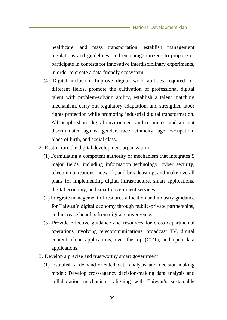healthcare, and mass transportation, establish management regulations and guidelines, and encourage citizens to propose or participate in contests for innovative interdisciplinary experiments, in order to create a data friendly ecosystem.

- (4) Digital inclusion: Improve digital work abilities required for different fields, promote the cultivation of professional digital talent with problem-solving ability, establish a talent matching mechanism, carry out regulatory adaptation, and strengthen labor rights protection while promoting industrial digital transformation. All people share digital environment and resources, and are not discriminated against gender, race, ethnicity, age, occupation, place of birth, and social class.
- 2. Restructure the digital development organization
	- (1) Formulating a competent authority or mechanism that integrates 5 major fields, including information technology, cyber security, telecommunications, network, and broadcasting, and make overall plans for implementing digital infrastructure, smart applications, digital economy, and smart government services.
	- (2) Integrate management of resource allocation and industry guidance for Taiwan's digital economy through public-private partnerships, and increase benefits from digital convergence.
	- (3) Provide effective guidance and resources for cross-departmental operations involving telecommunications, broadcast TV, digital content, cloud applications, over the top (OTT), and open data applications.
- 3. Develop a precise and trustworthy smart government
	- (1) Establish a demand-oriented data analysis and decision-making model: Develop cross-agency decision-making data analysis and collaboration mechanisms aligning with Taiwan's sustainable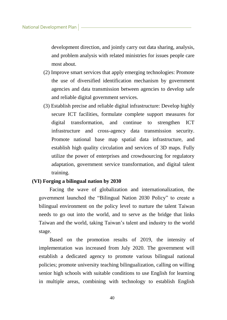development direction, and jointly carry out data sharing, analysis, and problem analysis with related ministries for issues people care most about.

- (2) Improve smart services that apply emerging technologies: Promote the use of diversified identification mechanism by government agencies and data transmission between agencies to develop safe and reliable digital government services.
- (3) Establish precise and reliable digital infrastructure: Develop highly secure ICT facilities, formulate complete support measures for digital transformation, and continue to strengthen ICT infrastructure and cross-agency data transmission security. Promote national base map spatial data infrastructure, and establish high quality circulation and services of 3D maps. Fully utilize the power of enterprises and crowdsourcing for regulatory adaptation, government service transformation, and digital talent training.

#### **(VI) Forging a bilingual nation by 2030**

Facing the wave of globalization and internationalization, the government launched the "Bilingual Nation 2030 Policy" to create a bilingual environment on the policy level to nurture the talent Taiwan needs to go out into the world, and to serve as the bridge that links Taiwan and the world, taking Taiwan's talent and industry to the world stage.

Based on the promotion results of 2019, the intensity of implementation was increased from July 2020. The government will establish a dedicated agency to promote various bilingual national policies; promote university teaching bilingualization, calling on willing senior high schools with suitable conditions to use English for learning in multiple areas, combining with technology to establish English

40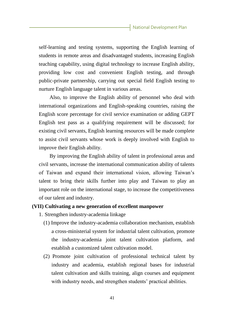self-learning and testing systems, supporting the English learning of students in remote areas and disadvantaged students, increasing English teaching capability, using digital technology to increase English ability, providing low cost and convenient English testing, and through public-private partnership, carrying out special field English testing to nurture English language talent in various areas.

Also, to improve the English ability of personnel who deal with international organizations and English-speaking countries, raising the English score percentage for civil service examination or adding GEPT English test pass as a qualifying requirement will be discussed; for existing civil servants, English learning resources will be made complete to assist civil servants whose work is deeply involved with English to improve their English ability.

By improving the English ability of talent in professional areas and civil servants, increase the international communication ability of talents of Taiwan and expand their international vision, allowing Taiwan's talent to bring their skills further into play and Taiwan to play an important role on the international stage, to increase the competitiveness of our talent and industry.

#### **(VII) Cultivating a new generation of excellent manpower**

- 1. Strengthen industry-academia linkage
	- (1) Improve the industry-academia collaboration mechanism, establish a cross-ministerial system for industrial talent cultivation, promote the industry-academia joint talent cultivation platform, and establish a customized talent cultivation model.
	- (2) Promote joint cultivation of professional technical talent by industry and academia, establish regional bases for industrial talent cultivation and skills training, align courses and equipment with industry needs, and strengthen students' practical abilities.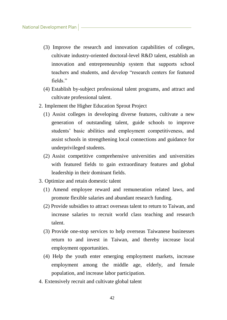- (3) Improve the research and innovation capabilities of colleges, cultivate industry-oriented doctoral-level R&D talent, establish an innovation and entrepreneurship system that supports school teachers and students, and develop "research centers for featured fields."
- (4) Establish by-subject professional talent programs, and attract and cultivate professional talent.
- 2. Implement the Higher Education Sprout Project
	- (1) Assist colleges in developing diverse features, cultivate a new generation of outstanding talent, guide schools to improve students' basic abilities and employment competitiveness, and assist schools in strengthening local connections and guidance for underprivileged students.
	- (2) Assist competitive comprehensive universities and universities with featured fields to gain extraordinary features and global leadership in their dominant fields.
- 3. Optimize and retain domestic talent
	- (1) Amend employee reward and remuneration related laws, and promote flexible salaries and abundant research funding.
	- (2) Provide subsidies to attract overseas talent to return to Taiwan, and increase salaries to recruit world class teaching and research talent.
	- (3) Provide one-stop services to help overseas Taiwanese businesses return to and invest in Taiwan, and thereby increase local employment opportunities.
	- (4) Help the youth enter emerging employment markets, increase employment among the middle age, elderly, and female population, and increase labor participation.
- 4. Extensively recruit and cultivate global talent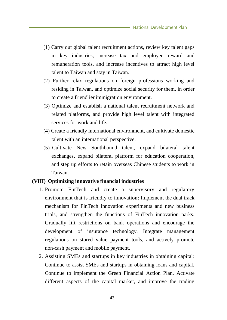- (1) Carry out global talent recruitment actions, review key talent gaps in key industries, increase tax and employee reward and remuneration tools, and increase incentives to attract high level talent to Taiwan and stay in Taiwan.
- (2) Further relax regulations on foreign professions working and residing in Taiwan, and optimize social security for them, in order to create a friendlier immigration environment.
- (3) Optimize and establish a national talent recruitment network and related platforms, and provide high level talent with integrated services for work and life.
- (4) Create a friendly international environment, and cultivate domestic talent with an international perspective.
- (5) Cultivate New Southbound talent, expand bilateral talent exchanges, expand bilateral platform for education cooperation, and step up efforts to retain overseas Chinese students to work in Taiwan.

#### **(VIII) Optimizing innovative financial industries**

- 1. Promote FinTech and create a supervisory and regulatory environment that is friendly to innovation: Implement the dual track mechanism for FinTech innovation experiments and new business trials, and strengthen the functions of FinTech innovation parks. Gradually lift restrictions on bank operations and encourage the development of insurance technology. Integrate management regulations on stored value payment tools, and actively promote non-cash payment and mobile payment.
- 2. Assisting SMEs and startups in key industries in obtaining capital: Continue to assist SMEs and startups in obtaining loans and capital. Continue to implement the Green Financial Action Plan. Activate different aspects of the capital market, and improve the trading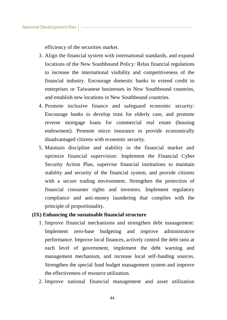efficiency of the securities market.

- 3. Align the financial system with international standards, and expand locations of the New Southbound Policy: Relax financial regulations to increase the international visibility and competitiveness of the financial industry. Encourage domestic banks to extend credit to enterprises or Taiwanese businesses in New Southbound countries, and establish new locations in New Southbound countries.
- 4. Promote inclusive finance and safeguard economic security: Encourage banks to develop trust for elderly care, and promote reverse mortgage loans for commercial real estate (housing endowment). Promote micro insurance to provide economically disadvantaged citizens with economic security.
- 5. Maintain discipline and stability in the financial market and optimize financial supervision: Implement the Financial Cyber Security Action Plan, supervise financial institutions to maintain stability and security of the financial system, and provide citizens with a secure trading environment. Strengthen the protection of financial consumer rights and investors. Implement regulatory compliance and anti-money laundering that complies with the principle of proportionality.

#### **(IX) Enhancing the sustainable financial structure**

- 1. Improve financial mechanisms and strengthen debt management: Implement zero-base budgeting and improve administrative performance. Improve local finances, actively control the debt ratio at each level of government, implement the debt warning and management mechanism, and increase local self-funding sources. Strengthen the special fund budget management system and improve the effectiveness of resource utilization.
- 2. Improve national financial management and asset utilization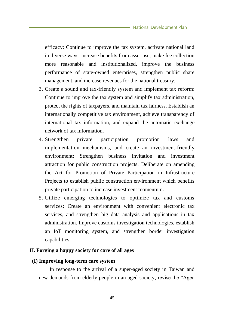efficacy: Continue to improve the tax system, activate national land in diverse ways, increase benefits from asset use, make fee collection more reasonable and institutionalized, improve the business performance of state-owned enterprises, strengthen public share management, and increase revenues for the national treasury.

- 3. Create a sound and tax-friendly system and implement tax reform: Continue to improve the tax system and simplify tax administration, protect the rights of taxpayers, and maintain tax fairness. Establish an internationally competitive tax environment, achieve transparency of international tax information, and expand the automatic exchange network of tax information.
- 4. Strengthen private participation promotion laws and implementation mechanisms, and create an investment-friendly environment: Strengthen business invitation and investment attraction for public construction projects. Deliberate on amending the Act for Promotion of Private Participation in Infrastructure Projects to establish public construction environment which benefits private participation to increase investment momentum.
- 5. Utilize emerging technologies to optimize tax and customs services: Create an environment with convenient electronic tax services, and strengthen big data analysis and applications in tax administration. Improve customs investigation technologies, establish an IoT monitoring system, and strengthen border investigation capabilities.

#### **II. Forging a happy society for care of all ages**

# **(I) Improving long-term care system**

In response to the arrival of a super-aged society in Taiwan and new demands from elderly people in an aged society, revise the "Aged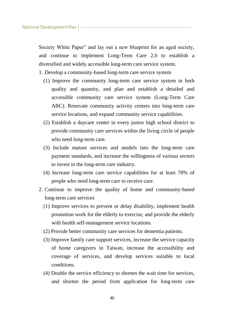Society White Paper" and lay out a new blueprint for an aged society, and continue to implement Long-Term Care 2.0 to establish a diversified and widely accessible long-term care service system.

1. Develop a community-based long-term care service system

- (1) Improve the community long-term care service system in both quality and quantity, and plan and establish a detailed and accessible community care service system (Long-Term Care ABC). Renovate community activity centers into long-term care service locations, and expand community service capabilities.
- (2) Establish a daycare center in every junior high school district to provide community care services within the living circle of people who need long-term care.
- (3) Include mature services and models into the long-term care payment standards, and increase the willingness of various sectors to invest in the long-term care industry.
- (4) Increase long-term care service capabilities for at least 70% of people who need long-term care to receive care.
- 2. Continue to improve the quality of home and community-based long-term care services
	- (1) Improve services to prevent or delay disability, implement health promotion work for the elderly to exercise, and provide the elderly with health self-management service locations.
	- (2) Provide better community care services for dementia patients.
	- (3) Improve family care support services, increase the service capacity of home caregivers in Taiwan, increase the accessibility and coverage of services, and develop services suitable to local conditions.
	- (4) Double the service efficiency to shorten the wait time for services, and shorten the period from application for long-term care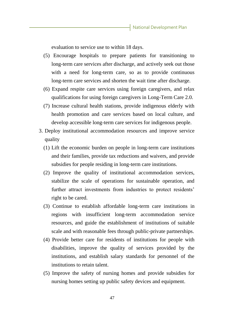evaluation to service use to within 18 days.

- (5) Encourage hospitals to prepare patients for transitioning to long-term care services after discharge, and actively seek out those with a need for long-term care, so as to provide continuous long-term care services and shorten the wait time after discharge.
- (6) Expand respite care services using foreign caregivers, and relax qualifications for using foreign caregivers in Long-Term Care 2.0.
- (7) Increase cultural health stations, provide indigenous elderly with health promotion and care services based on local culture, and develop accessible long-term care services for indigenous people.
- 3. Deploy institutional accommodation resources and improve service quality
	- (1) Lift the economic burden on people in long-term care institutions and their families, provide tax reductions and waivers, and provide subsidies for people residing in long-term care institutions.
	- (2) Improve the quality of institutional accommodation services, stabilize the scale of operations for sustainable operation, and further attract investments from industries to protect residents' right to be cared.
	- (3) Continue to establish affordable long-term care institutions in regions with insufficient long-term accommodation service resources, and guide the establishment of institutions of suitable scale and with reasonable fees through public-private partnerships.
	- (4) Provide better care for residents of institutions for people with disabilities, improve the quality of services provided by the institutions, and establish salary standards for personnel of the institutions to retain talent.
	- (5) Improve the safety of nursing homes and provide subsidies for nursing homes setting up public safety devices and equipment.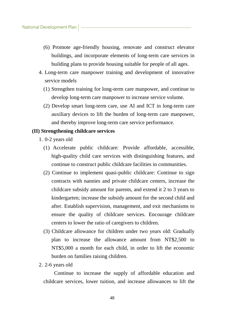- (6) Promote age-friendly housing, renovate and construct elevator buildings, and incorporate elements of long-term care services in building plans to provide housing suitable for people of all ages.
- 4. Long-term care manpower training and development of innovative service models
	- (1) Strengthen training for long-term care manpower, and continue to develop long-term care manpower to increase service volume.
	- (2) Develop smart long-term care, use AI and ICT in long-term care auxiliary devices to lift the burden of long-term care manpower, and thereby improve long-term care service performance.

# **(II) Strengthening childcare services**

- 1. 0-2 years old
	- (1) Accelerate public childcare: Provide affordable, accessible, high-quality child care services with distinguishing features, and continue to construct public childcare facilities in communities.
	- (2) Continue to implement quasi-public childcare: Continue to sign contracts with nannies and private childcare centers, increase the childcare subsidy amount for parents, and extend it 2 to 3 years to kindergarten; increase the subsidy amount for the second child and after. Establish supervision, management, and exit mechanisms to ensure the quality of childcare services. Encourage childcare centers to lower the ratio of caregivers to children.
	- (3) Childcare allowance for children under two years old: Gradually plan to increase the allowance amount from NT\$2,500 to NT\$5,000 a month for each child, in order to lift the economic burden on families raising children.
- 2. 2-6 years old

Continue to increase the supply of affordable education and childcare services, lower tuition, and increase allowances to lift the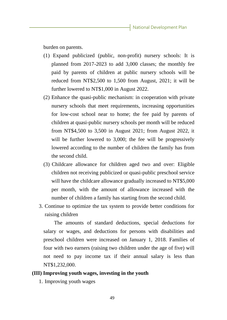burden on parents.

- (1) Expand publicized (public, non-profit) nursery schools: It is planned from 2017-2023 to add 3,000 classes; the monthly fee paid by parents of children at public nursery schools will be reduced from NT\$2,500 to 1,500 from August, 2021; it will be further lowered to NT\$1,000 in August 2022.
- (2) Enhance the quasi-public mechanism: in cooperation with private nursery schools that meet requirements, increasing opportunities for low-cost school near to home; the fee paid by parents of children at quasi-public nursery schools per month will be reduced from NT\$4,500 to 3,500 in August 2021; from August 2022, it will be further lowered to 3,000; the fee will be progressively lowered according to the number of children the family has from the second child.
- (3) Childcare allowance for children aged two and over: Eligible children not receiving publicized or quasi-public preschool service will have the childcare allowance gradually increased to NT\$5,000 per month, with the amount of allowance increased with the number of children a family has starting from the second child.
- 3. Continue to optimize the tax system to provide better conditions for raising children

The amounts of standard deductions, special deductions for salary or wages, and deductions for persons with disabilities and preschool children were increased on January 1, 2018. Families of four with two earners (raising two children under the age of five) will not need to pay income tax if their annual salary is less than NT\$1,232,000.

#### **(III) Improving youth wages, investing in the youth**

1. Improving youth wages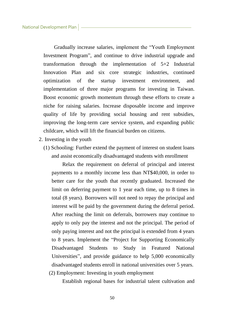Gradually increase salaries, implement the "Youth Employment Investment Program", and continue to drive industrial upgrade and transformation through the implementation of 5+2 Industrial Innovation Plan and six core strategic industries, continued optimization of the startup investment environment, and implementation of three major programs for investing in Taiwan. Boost economic growth momentum through these efforts to create a niche for raising salaries. Increase disposable income and improve quality of life by providing social housing and rent subsidies, improving the long-term care service system, and expanding public childcare, which will lift the financial burden on citizens.

- 2. Investing in the youth
	- (1) Schooling: Further extend the payment of interest on student loans and assist economically disadvantaged students with enrollment

Relax the requirement on deferral of principal and interest payments to a monthly income less than NT\$40,000, in order to better care for the youth that recently graduated. Increased the limit on deferring payment to 1 year each time, up to 8 times in total (8 years). Borrowers will not need to repay the principal and interest will be paid by the government during the deferral period. After reaching the limit on deferrals, borrowers may continue to apply to only pay the interest and not the principal. The period of only paying interest and not the principal is extended from 4 years to 8 years. Implement the "Project for Supporting Economically Disadvantaged Students to Study in Featured National Universities", and provide guidance to help 5,000 economically disadvantaged students enroll in national universities over 5 years.

(2) Employment: Investing in youth employment

Establish regional bases for industrial talent cultivation and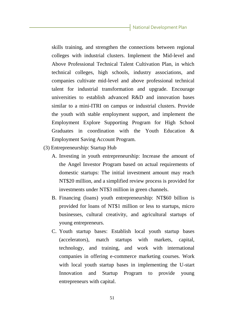skills training, and strengthen the connections between regional colleges with industrial clusters. Implement the Mid-level and Above Professional Technical Talent Cultivation Plan, in which technical colleges, high schools, industry associations, and companies cultivate mid-level and above professional technical talent for industrial transformation and upgrade. Encourage universities to establish advanced R&D and innovation bases similar to a mini-ITRI on campus or industrial clusters. Provide the youth with stable employment support, and implement the Employment Explore Supporting Program for High School Graduates in coordination with the Youth Education & Employment Saving Account Program.

(3) Entrepreneurship: Startup Hub

- A. Investing in youth entrepreneurship: Increase the amount of the Angel Investor Program based on actual requirements of domestic startups: The initial investment amount may reach NT\$20 million, and a simplified review process is provided for investments under NT\$3 million in green channels.
- B. Financing (loans) youth entrepreneurship: NT\$60 billion is provided for loans of NT\$1 million or less to startups, micro businesses, cultural creativity, and agricultural startups of young entrepreneurs.
- C. Youth startup bases: Establish local youth startup bases (accelerators), match startups with markets, capital, technology, and training, and work with international companies in offering e-commerce marketing courses. Work with local youth startup bases in implementing the U-start Innovation and Startup Program to provide young entrepreneurs with capital.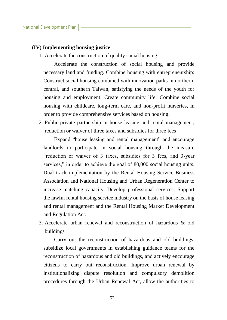# **(IV) Implementing housing justice**

1. Accelerate the construction of quality social housing

Accelerate the construction of social housing and provide necessary land and funding. Combine housing with entrepreneurship: Construct social housing combined with innovation parks in northern, central, and southern Taiwan, satisfying the needs of the youth for housing and employment. Create community life: Combine social housing with childcare, long-term care, and non-profit nurseries, in order to provide comprehensive services based on housing.

2. Public-private partnership in house leasing and rental management, reduction or waiver of three taxes and subsidies for three fees

Expand "house leasing and rental management" and encourage landlords to participate in social housing through the measure "reduction or waiver of 3 taxes, subsidies for 3 fees, and 3-year services," in order to achieve the goal of 80,000 social housing units. Dual track implementation by the Rental Housing Service Business Association and National Housing and Urban Regeneration Center to increase matching capacity. Develop professional services: Support the lawful rental housing service industry on the basis of house leasing and rental management and the Rental Housing Market Development and Regulation Act.

3. Accelerate urban renewal and reconstruction of hazardous & old buildings

Carry out the reconstruction of hazardous and old buildings, subsidize local governments in establishing guidance teams for the reconstruction of hazardous and old buildings, and actively encourage citizens to carry out reconstruction. Improve urban renewal by institutionalizing dispute resolution and compulsory demolition procedures through the Urban Renewal Act, allow the authorities to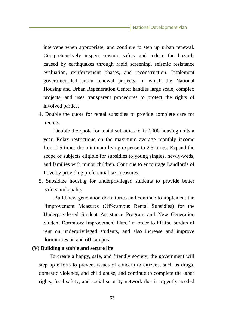intervene when appropriate, and continue to step up urban renewal. Comprehensively inspect seismic safety and reduce the hazards caused by earthquakes through rapid screening, seismic resistance evaluation, reinforcement phases, and reconstruction. Implement government-led urban renewal projects, in which the National Housing and Urban Regeneration Center handles large scale, complex projects, and uses transparent procedures to protect the rights of involved parties.

4. Double the quota for rental subsidies to provide complete care for renters

Double the quota for rental subsidies to 120,000 housing units a year. Relax restrictions on the maximum average monthly income from 1.5 times the minimum living expense to 2.5 times. Expand the scope of subjects eligible for subsidies to young singles, newly-weds, and families with minor children. Continue to encourage Landlords of Love by providing preferential tax measures.

5. Subsidize housing for underprivileged students to provide better safety and quality

Build new generation dormitories and continue to implement the "Improvement Measures (Off-campus Rental Subsidies) for the Underprivileged Student Assistance Program and New Generation Student Dormitory Improvement Plan," in order to lift the burden of rent on underprivileged students, and also increase and improve dormitories on and off campus.

# **(V) Building a stable and secure life**

To create a happy, safe, and friendly society, the government will step up efforts to prevent issues of concern to citizens, such as drugs, domestic violence, and child abuse, and continue to complete the labor rights, food safety, and social security network that is urgently needed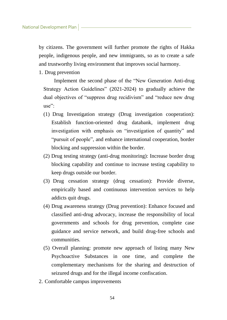by citizens. The government will further promote the rights of Hakka people, indigenous people, and new immigrants, so as to create a safe and trustworthy living environment that improves social harmony.

1. Drug prevention

Implement the second phase of the "New Generation Anti-drug Strategy Action Guidelines" (2021-2024) to gradually achieve the dual objectives of "suppress drug recidivism" and "reduce new drug use":

- (1) Drug Investigation strategy (Drug investigation cooperation): Establish function-oriented drug databank, implement drug investigation with emphasis on "investigation of quantity" and "pursuit of people", and enhance international cooperation, border blocking and suppression within the border.
- (2) Drug testing strategy (anti-drug monitoring): Increase border drug blocking capability and continue to increase testing capability to keep drugs outside our border.
- (3) Drug cessation strategy (drug cessation): Provide diverse, empirically based and continuous intervention services to help addicts quit drugs.
- (4) Drug awareness strategy (Drug prevention): Enhance focused and classified anti-drug advocacy, increase the responsibility of local governments and schools for drug prevention, complete case guidance and service network, and build drug-free schools and communities.
- (5) Overall planning: promote new approach of listing many New Psychoactive Substances in one time, and complete the complementary mechanisms for the sharing and destruction of seizured drugs and for the illegal income confiscation.
- 2. Comfortable campus improvements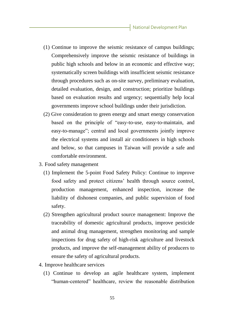- (1) Continue to improve the seismic resistance of campus buildings; Comprehensively improve the seismic resistance of buildings in public high schools and below in an economic and effective way; systematically screen buildings with insufficient seismic resistance through procedures such as on-site survey, preliminary evaluation, detailed evaluation, design, and construction; prioritize buildings based on evaluation results and urgency; sequentially help local governments improve school buildings under their jurisdiction.
- (2) Give consideration to green energy and smart energy conservation based on the principle of "easy-to-use, easy-to-maintain, and easy-to-manage"; central and local governments jointly improve the electrical systems and install air conditioners in high schools and below, so that campuses in Taiwan will provide a safe and comfortable environment.
- 3. Food safety management
	- (1) Implement the 5-point Food Safety Policy: Continue to improve food safety and protect citizens' health through source control, production management, enhanced inspection, increase the liability of dishonest companies, and public supervision of food safety.
	- (2) Strengthen agricultural product source management: Improve the traceability of domestic agricultural products, improve pesticide and animal drug management, strengthen monitoring and sample inspections for drug safety of high-risk agriculture and livestock products, and improve the self-management ability of producers to ensure the safety of agricultural products.
- 4. Improve healthcare services
	- (1) Continue to develop an agile healthcare system, implement "human-centered" healthcare, review the reasonable distribution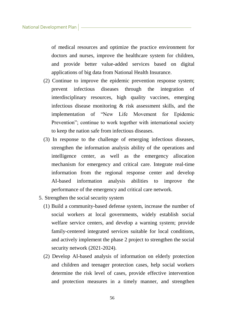of medical resources and optimize the practice environment for doctors and nurses, improve the healthcare system for children, and provide better value-added services based on digital applications of big data from National Health Insurance.

- (2) Continue to improve the epidemic prevention response system; prevent infectious diseases through the integration of interdisciplinary resources, high quality vaccines, emerging infectious disease monitoring & risk assessment skills, and the implementation of "New Life Movement for Epidemic Prevention"; continue to work together with international society to keep the nation safe from infectious diseases.
- (3) In response to the challenge of emerging infectious diseases, strengthen the information analysis ability of the operations and intelligence center, as well as the emergency allocation mechanism for emergency and critical care. Integrate real-time information from the regional response center and develop AI-based information analysis abilities to improve the performance of the emergency and critical care network.
- 5. Strengthen the social security system
	- (1) Build a community-based defense system, increase the number of social workers at local governments, widely establish social welfare service centers, and develop a warning system; provide family-centered integrated services suitable for local conditions, and actively implement the phase 2 project to strengthen the social security network (2021-2024).
	- (2) Develop AI-based analysis of information on elderly protection and children and teenager protection cases, help social workers determine the risk level of cases, provide effective intervention and protection measures in a timely manner, and strengthen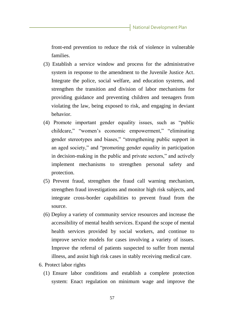front-end prevention to reduce the risk of violence in vulnerable families.

- (3) Establish a service window and process for the administrative system in response to the amendment to the Juvenile Justice Act. Integrate the police, social welfare, and education systems, and strengthen the transition and division of labor mechanisms for providing guidance and preventing children and teenagers from violating the law, being exposed to risk, and engaging in deviant behavior.
- (4) Promote important gender equality issues, such as "public childcare," "women's economic empowerment," "eliminating gender stereotypes and biases," "strengthening public support in an aged society," and "promoting gender equality in participation in decision-making in the public and private sectors," and actively implement mechanisms to strengthen personal safety and protection.
- (5) Prevent fraud, strengthen the fraud call warning mechanism, strengthen fraud investigations and monitor high risk subjects, and integrate cross-border capabilities to prevent fraud from the source.
- (6) Deploy a variety of community service resources and increase the accessibility of mental health services. Expand the scope of mental health services provided by social workers, and continue to improve service models for cases involving a variety of issues. Improve the referral of patients suspected to suffer from mental illness, and assist high risk cases in stably receiving medical care.
- 6. Protect labor rights
	- (1) Ensure labor conditions and establish a complete protection system: Enact regulation on minimum wage and improve the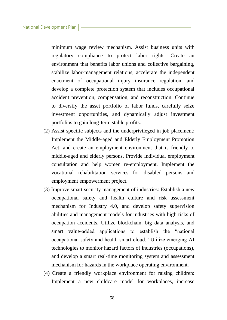minimum wage review mechanism. Assist business units with regulatory compliance to protect labor rights. Create an environment that benefits labor unions and collective bargaining, stabilize labor-management relations, accelerate the independent enactment of occupational injury insurance regulation, and develop a complete protection system that includes occupational accident prevention, compensation, and reconstruction. Continue to diversify the asset portfolio of labor funds, carefully seize investment opportunities, and dynamically adjust investment portfolios to gain long-term stable profits.

- (2) Assist specific subjects and the underprivileged in job placement: Implement the Middle-aged and Elderly Employment Promotion Act, and create an employment environment that is friendly to middle-aged and elderly persons. Provide individual employment consultation and help women re-employment. Implement the vocational rehabilitation services for disabled persons and employment empowerment project.
- (3) Improve smart security management of industries: Establish a new occupational safety and health culture and risk assessment mechanism for Industry 4.0, and develop safety supervision abilities and management models for industries with high risks of occupation accidents. Utilize blockchain, big data analysis, and smart value-added applications to establish the "national occupational safety and health smart cloud." Utilize emerging AI technologies to monitor hazard factors of industries (occupations), and develop a smart real-time monitoring system and assessment mechanism for hazards in the workplace operating environment.
- (4) Create a friendly workplace environment for raising children: Implement a new childcare model for workplaces, increase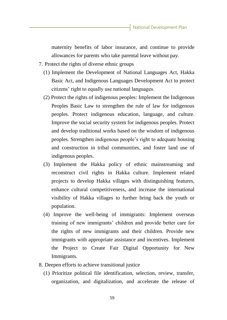maternity benefits of labor insurance, and continue to provide allowances for parents who take parental leave without pay.

- 7. Protect the rights of diverse ethnic groups
	- (1) Implement the Development of National Languages Act, Hakka Basic Act, and Indigenous Languages Development Act to protect citizens' right to equally use national languages.
	- (2) Protect the rights of indigenous peoples: Implement the Indigenous Peoples Basic Law to strengthen the rule of law for indigenous peoples. Protect indigenous education, language, and culture. Improve the social security system for indigenous peoples. Protect and develop traditional works based on the wisdom of indigenous peoples. Strengthen indigenous people's right to adequate housing and construction in tribal communities, and foster land use of indigenous peoples.
	- (3) Implement the Hakka policy of ethnic mainstreaming and reconstruct civil rights in Hakka culture. Implement related projects to develop Hakka villages with distinguishing features, enhance cultural competitiveness, and increase the international visibility of Hakka villages to further bring back the youth or population.
	- (4) Improve the well-being of immigrants: Implement overseas training of new immigrants' children and provide better care for the rights of new immigrants and their children. Provide new immigrants with appropriate assistance and incentives. Implement the Project to Create Fair Digital Opportunity for New Immigrants.
- 8. Deepen efforts to achieve transitional justice
	- (1) Prioritize political file identification, selection, review, transfer, organization, and digitalization, and accelerate the release of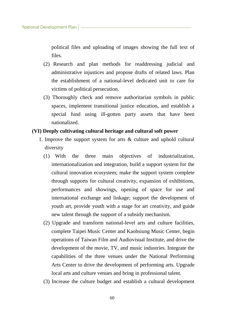political files and uploading of images showing the full text of files.

- (2) Research and plan methods for readdressing judicial and administrative injustices and propose drafts of related laws. Plan the establishment of a national-level dedicated unit to care for victims of political persecution.
- (3) Thoroughly check and remove authoritarian symbols in public spaces, implement transitional justice education, and establish a special fund using ill-gotten party assets that have been nationalized.

# **(VI) Deeply cultivating cultural heritage and cultural soft power**

- 1. Improve the support system for arts & culture and uphold cultural diversity
	- (1) With the three main objectives of industrialization, internationalization and integration, build a support system for the cultural innovation ecosystem; make the support system complete through supports for cultural creativity, expansion of exhibitions, performances and showings, opening of space for use and international exchange and linkage; support the development of youth art, provide youth with a stage for art creativity, and guide new talent through the support of a subsidy mechanism.
	- (2) Upgrade and transform national-level arts and culture facilities, complete Taipei Music Center and Kaohsiung Music Center, begin operations of Taiwan Film and Audiovisual Institute, and drive the development of the movie, TV, and music industries. Integrate the capabilities of the three venues under the National Performing Arts Center to drive the development of performing arts. Upgrade local arts and culture venues and bring in professional talent.
	- (3) Increase the culture budget and establish a cultural development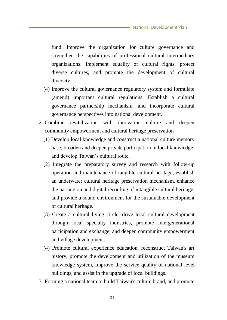fund. Improve the organization for culture governance and strengthen the capabilities of professional cultural intermediary organizations. Implement equality of cultural rights, protect diverse cultures, and promote the development of cultural diversity.

- (4) Improve the cultural governance regulatory system and formulate (amend) important cultural regulations. Establish a cultural governance partnership mechanism, and incorporate cultural governance perspectives into national development.
- 2. Combine revitalization with innovation culture and deepen community empowerment and cultural heritage preservation
	- (1) Develop local knowledge and construct a national culture memory base, broaden and deepen private participation in local knowledge, and develop Taiwan's cultural route.
	- (2) Integrate the preparatory survey and research with follow-up operation and maintenance of tangible cultural heritage, establish an underwater cultural heritage preservation mechanism, enhance the passing on and digital recording of intangible cultural heritage, and provide a sound environment for the sustainable development of cultural heritage.
	- (3) Create a cultural living circle, drive local cultural development through local specialty industries, promote intergenerational participation and exchange, and deepen community empowerment and village development.
	- (4) Promote cultural experience education, reconstruct Taiwan's art history, promote the development and utilization of the museum knowledge system, improve the service quality of national-level buildings, and assist in the upgrade of local buildings.
- 3. Forming a national team to build Taiwan's culture brand, and promote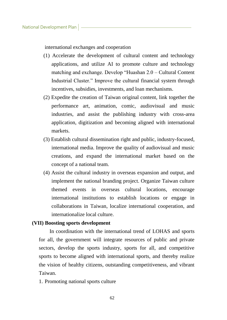international exchanges and cooperation

- (1) Accelerate the development of cultural content and technology applications, and utilize AI to promote culture and technology matching and exchange. Develop "Huashan 2.0 – Cultural Content Industrial Cluster." Improve the cultural financial system through incentives, subsidies, investments, and loan mechanisms.
- (2) Expedite the creation of Taiwan original content, link together the performance art, animation, comic, audiovisual and music industries, and assist the publishing industry with cross-area application, digitization and becoming aligned with international markets.
- (3) Establish cultural dissemination right and public, industry-focused, international media. Improve the quality of audiovisual and music creations, and expand the international market based on the concept of a national team.
- (4) Assist the cultural industry in overseas expansion and output, and implement the national branding project. Organize Taiwan culture themed events in overseas cultural locations, encourage international institutions to establish locations or engage in collaborations in Taiwan, localize international cooperation, and internationalize local culture.

# **(VII) Boosting sports development**

In coordination with the international trend of LOHAS and sports for all, the government will integrate resources of public and private sectors, develop the sports industry, sports for all, and competitive sports to become aligned with international sports, and thereby realize the vision of healthy citizens, outstanding competitiveness, and vibrant Taiwan.

1. Promoting national sports culture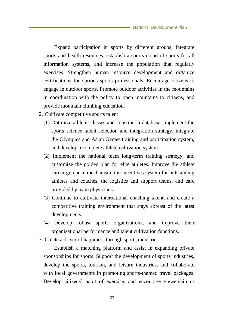Expand participation in sports by different groups, integrate sports and health resources, establish a sports cloud of sports for all information systems, and increase the population that regularly exercises. Strengthen human resource development and organize certifications for various sports professionals. Encourage citizens to engage in outdoor sports. Promote outdoor activities in the mountains in coordination with the policy to open mountains to citizens, and provide mountain climbing education.

- 2. Cultivate competitive sports talent
	- (1) Optimize athletic classes and construct a database, implement the sports science talent selection and integration strategy, integrate the Olympics and Asian Games training and participation system, and develop a complete athlete cultivation system.
	- (2) Implement the national team long-term training strategy, and customize the golden plan for elite athletes. Improve the athlete career guidance mechanism, the incentives system for outstanding athletes and coaches, the logistics and support teams, and care provided by team physicians.
	- (3) Continue to cultivate international coaching talent, and create a competitive training environment that stays abreast of the latest developments.
	- (4) Develop robust sports organizations, and improve their organizational performance and talent cultivation functions.
- 3. Create a driver of happiness through sports industries

Establish a matching platform and assist in expanding private sponsorships for sports. Support the development of sports industries, develop the sports, tourism, and leisure industries, and collaborate with local governments in promoting sports-themed travel packages. Develop citizens' habit of exercise, and encourage viewership or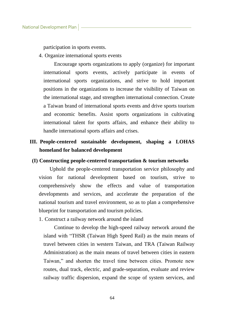participation in sports events.

4. Organize international sports events

Encourage sports organizations to apply (organize) for important international sports events, actively participate in events of international sports organizations, and strive to hold important positions in the organizations to increase the visibility of Taiwan on the international stage, and strengthen international connection. Create a Taiwan brand of international sports events and drive sports tourism and economic benefits. Assist sports organizations in cultivating international talent for sports affairs, and enhance their ability to handle international sports affairs and crises.

**III. People-centered sustainable development, shaping a LOHAS homeland for balanced development**

## **(I) Constructing people-centered transportation & tourism networks**

Uphold the people-centered transportation service philosophy and vision for national development based on tourism, strive to comprehensively show the effects and value of transportation developments and services, and accelerate the preparation of the national tourism and travel environment, so as to plan a comprehensive blueprint for transportation and tourism policies.

1. Construct a railway network around the island

Continue to develop the high-speed railway network around the island with "THSR (Taiwan High Speed Rail) as the main means of travel between cities in western Taiwan, and TRA (Taiwan Railway Administration) as the main means of travel between cities in eastern Taiwan," and shorten the travel time between cities. Promote new routes, dual track, electric, and grade-separation, evaluate and review railway traffic dispersion, expand the scope of system services, and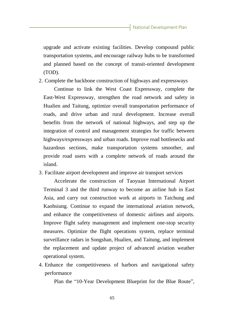upgrade and activate existing facilities. Develop compound public transportation systems, and encourage railway hubs to be transformed and planned based on the concept of transit-oriented development (TOD).

2. Complete the backbone construction of highways and expressways

Continue to link the West Coast Expressway, complete the East-West Expressway, strengthen the road network and safety in Hualien and Taitung, optimize overall transportation performance of roads, and drive urban and rural development. Increase overall benefits from the network of national highways, and step up the integration of control and management strategies for traffic between highways/expressways and urban roads. Improve road bottlenecks and hazardous sections, make transportation systems smoother, and provide road users with a complete network of roads around the island.

3. Facilitate airport development and improve air transport services

Accelerate the construction of Taoyuan International Airport Terminal 3 and the third runway to become an airline hub in East Asia, and carry out construction work at airports in Taichung and Kaohsiung. Continue to expand the international aviation network, and enhance the competitiveness of domestic airlines and airports. Improve flight safety management and implement one-stop security measures. Optimize the flight operations system, replace terminal surveillance radars in Songshan, Hualien, and Taitung, and implement the replacement and update project of advanced aviation weather operational system.

4. Enhance the competitiveness of harbors and navigational safety performance

Plan the "10-Year Development Blueprint for the Blue Route",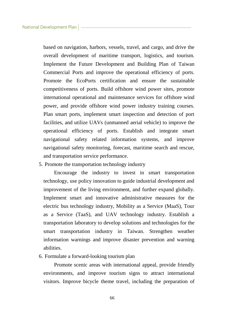based on navigation, harbors, vessels, travel, and cargo, and drive the overall development of maritime transport, logistics, and tourism. Implement the Future Development and Building Plan of Taiwan Commercial Ports and improve the operational efficiency of ports. Promote the EcoPorts certification and ensure the sustainable competitiveness of ports. Build offshore wind power sites, promote international operational and maintenance services for offshore wind power, and provide offshore wind power industry training courses. Plan smart ports, implement smart inspection and detection of port facilities, and utilize UAVs (unmanned aerial vehicle) to improve the operational efficiency of ports. Establish and integrate smart navigational safety related information systems, and improve navigational safety monitoring, forecast, maritime search and rescue, and transportation service performance.

## 5. Promote the transportation technology industry

Encourage the industry to invest in smart transportation technology, use policy innovation to guide industrial development and improvement of the living environment, and further expand globally. Implement smart and innovative administrative measures for the electric bus technology industry, Mobility as a Service (MaaS), Tour as a Service (TaaS), and UAV technology industry. Establish a transportation laboratory to develop solutions and technologies for the smart transportation industry in Taiwan. Strengthen weather information warnings and improve disaster prevention and warning abilities.

## 6. Formulate a forward-looking tourism plan

Promote scenic areas with international appeal, provide friendly environments, and improve tourism signs to attract international visitors. Improve bicycle theme travel, including the preparation of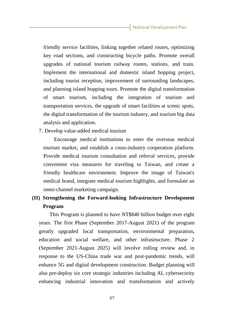friendly service facilities, linking together related routes, optimizing key road sections, and constructing bicycle paths. Promote overall upgrades of national tourism railway routes, stations, and train. Implement the international and domestic island hopping project, including tourist reception, improvement of surrounding landscapes, and planning island hopping tours. Promote the digital transformation of smart tourism, including the integration of tourism and transportation services, the upgrade of smart facilities at scenic spots, the digital transformation of the tourism industry, and tourism big data analysis and application.

7. Develop value-added medical tourism

Encourage medical institutions to enter the overseas medical tourism market, and establish a cross-industry cooperation platform. Provide medical tourism consultation and referral services, provide convenient visa measures for traveling to Taiwan, and create a friendly healthcare environment. Improve the image of Taiwan's medical brand, integrate medical tourism highlights, and formulate an omni-channel marketing campaign.

# **(II) Strengthening the Forward-looking Infrastructure Development Program**

This Program is planned to have NT\$840 billion budget over eight years. The first Phase (September 2017-August 2021) of the program greatly upgraded local transportation, environmental preparation, education and social welfare, and other infrastructure. Phase 2 (September 2021-August 2025) will involve rolling review and, in response to the US-China trade war and post-pandemic trends, will enhance 5G and digital development construction. Budget planning will also pre-deploy six core strategic industries including AI, cybersecurity enhancing industrial innovation and transformation and actively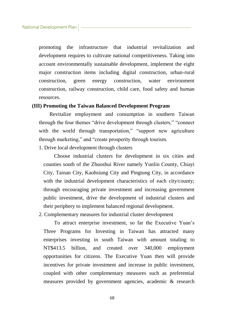promoting the infrastructure that industrial revitalization and development requires to cultivate national competitiveness. Taking into account environmentally sustainable development, implement the eight major construction items including digital construction, urban-rural construction, green energy construction, water environment construction, railway construction, child care, food safety and human resources.

## **(III) Promoting the Taiwan Balanced Development Program**

Revitalize employment and consumption in southern Taiwan through the four themes "drive development through clusters," "connect with the world through transportation," "support new agriculture through marketing," and "create prosperity through tourism.

1. Drive local development through clusters

Choose industrial clusters for development in six cities and counties south of the Zhuoshui River namely Yunlin County, Chiayi City, Tainan City, Kaohsiung City and Pingtung City, in accordance with the industrial development characteristics of each city/county; through encouraging private investment and increasing government public investment, drive the development of industrial clusters and their periphery to implement balanced regional development.

2. Complementary measures for industrial cluster development

To attract enterprise investment, so far the Executive Yuan's Three Programs for Investing in Taiwan has attracted many enterprises investing in south Taiwan with amount totaling to NT\$413.5 billion, and created over 340,000 employment opportunities for citizens. The Executive Yuan then will provide incentives for private investment and increase in public investment, coupled with other complementary measures such as preferential measures provided by government agencies, academic & research

68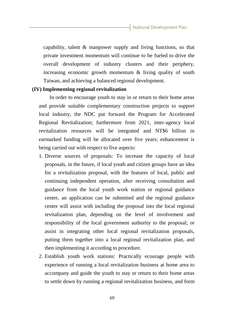capability, talent & manpower supply and living functions, so that private investment momentum will continue to be fueled to drive the overall development of industry clusters and their periphery, increasing economic growth momentum & living quality of south Taiwan, and achieving a balanced regional development.

#### **(IV) Implementing regional revitalization**

In order to encourage youth to stay in or return to their home areas and provide suitable complementary construction projects to support local industry, the NDC put forward the Program for Accelerated Regional Revitalization; furthermore from 2021, inter-agency local revitalization resources will be integrated and NT\$6 billion in earmarked funding will be allocated over five years; enhancement is being carried out with respect to five aspects:

- 1. Diverse sources of proposals: To increase the capacity of local proposals, in the future, if local youth and citizen groups have an idea for a revitalization proposal, with the features of local, public and continuing independent operation, after receiving consultation and guidance from the local youth work station or regional guidance center, an application can be submitted and the regional guidance center will assist with including the proposal into the local regional revitalization plan, depending on the level of involvement and responsibility of the local government authority to the proposal; or assist in integrating other local regional revitalization proposals, putting them together into a local regional revitalization plan, and then implementing it according to procedure.
- 2. Establish youth work stations: Practically ecourage people with experience of running a local revitalization business at home area to accompany and guide the youth to stay or return to their home areas to settle down by running a regional revitalization business, and form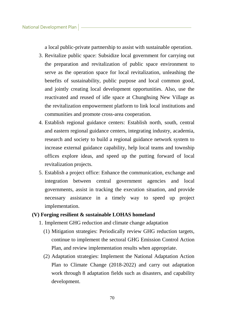a local public-private partnership to assist with sustainable operation.

- 3. Revitalize public space: Subsidize local government for carrying out the preparation and revitalization of public space environment to serve as the operation space for local revitalization, unleashing the benefits of sustainability, public purpose and local common good, and jointly creating local development opportunities. Also, use the reactivated and reused of idle space at Chunghsing New Village as the revitalization empowerment platform to link local institutions and communities and promote cross-area cooperation.
- 4. Establish regional guidance centers: Establish north, south, central and eastern regional guidance centers, integrating industry, academia, research and society to build a regional guidance network system to increase external guidance capability, help local teams and township offices explore ideas, and speed up the putting forward of local revitalization projects.
- 5. Establish a project office: Enhance the communication, exchange and integration between central government agencies and local governments, assist in tracking the execution situation, and provide necessary assistance in a timely way to speed up project implementation.

## **(V) Forging resilient & sustainable LOHAS homeland**

- 1. Implement GHG reduction and climate change adaptation
	- (1) Mitigation strategies: Periodically review GHG reduction targets, continue to implement the sectoral GHG Emission Control Action Plan, and review implementation results when appropriate.
	- (2) Adaptation strategies: Implement the National Adaptation Action Plan to Climate Change (2018-2022) and carry out adaptation work through 8 adaptation fields such as disasters, and capability development.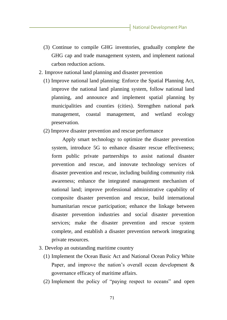- (3) Continue to compile GHG inventories, gradually complete the GHG cap and trade management system, and implement national carbon reduction actions.
- 2. Improve national land planning and disaster prevention
	- (1) Improve national land planning: Enforce the Spatial Planning Act, improve the national land planning system, follow national land planning, and announce and implement spatial planning by municipalities and counties (cities). Strengthen national park management, coastal management, and wetland ecology preservation.
	- (2) Improve disaster prevention and rescue performance

Apply smart technology to optimize the disaster prevention system, introduce 5G to enhance disaster rescue effectiveness; form public private partnerships to assist national disaster prevention and rescue, and innovate technology services of disaster prevention and rescue, including building community risk awareness; enhance the integrated management mechanism of national land; improve professional administrative capability of composite disaster prevention and rescue, build international humanitarian rescue participation; enhance the linkage between disaster prevention industries and social disaster prevention services; make the disaster prevention and rescue system complete, and establish a disaster prevention network integrating private resources.

- 3. Develop an outstanding maritime country
	- (1) Implement the Ocean Basic Act and National Ocean Policy White Paper, and improve the nation's overall ocean development & governance efficacy of maritime affairs.
	- (2) Implement the policy of "paying respect to oceans" and open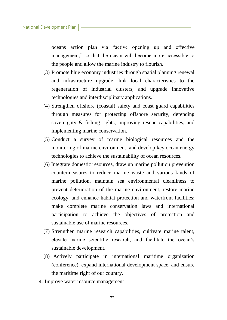oceans action plan via "active opening up and effective management," so that the ocean will become more accessible to the people and allow the marine industry to flourish.

- (3) Promote blue economy industries through spatial planning renewal and infrastructure upgrade, link local characteristics to the regeneration of industrial clusters, and upgrade innovative technologies and interdisciplinary applications.
- (4) Strengthen offshore (coastal) safety and coast guard capabilities through measures for protecting offshore security, defending sovereignty & fishing rights, improving rescue capabilities, and implementing marine conservation.
- (5) Conduct a survey of marine biological resources and the monitoring of marine environment, and develop key ocean energy technologies to achieve the sustainability of ocean resources.
- (6) Integrate domestic resources, draw up marine pollution prevention countermeasures to reduce marine waste and various kinds of marine pollution, maintain sea environmental cleanliness to prevent deterioration of the marine environment, restore marine ecology, and enhance habitat protection and waterfront facilities; make complete marine conservation laws and international participation to achieve the objectives of protection and sustainable use of marine resources.
- (7) Strengthen marine research capabilities, cultivate marine talent, elevate marine scientific research, and facilitate the ocean's sustainable development.
- (8) Actively participate in international maritime organization (conference), expand international development space, and ensure the maritime right of our country.
- 4. Improve water resource management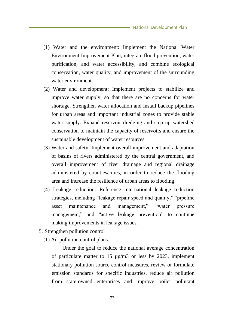- (1) Water and the environment: Implement the National Water Environment Improvement Plan, integrate flood prevention, water purification, and water accessibility, and combine ecological conservation, water quality, and improvement of the surrounding water environment.
- (2) Water and development: Implement projects to stabilize and improve water supply, so that there are no concerns for water shortage. Strengthen water allocation and install backup pipelines for urban areas and important industrial zones to provide stable water supply. Expand reservoir dredging and step up watershed conservation to maintain the capacity of reservoirs and ensure the sustainable development of water resources.
- (3) Water and safety: Implement overall improvement and adaptation of basins of rivers administered by the central government, and overall improvement of river drainage and regional drainage administered by counties/cities, in order to reduce the flooding area and increase the resilience of urban areas to flooding.
- (4) Leakage reduction: Reference international leakage reduction strategies, including "leakage repair speed and quality," "pipeline asset maintenance and management," "water pressure management," and "active leakage prevention" to continue making improvements in leakage issues.
- 5. Strengthen pollution control
	- (1) Air pollution control plans

Under the goal to reduce the national average concentration of particulate matter to 15 µg/m3 or less by 2023, implement stationary pollution source control measures, review or formulate emission standards for specific industries, reduce air pollution from state-owned enterprises and improve boiler pollutant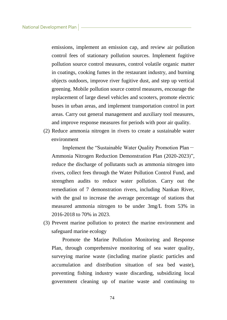emissions, implement an emission cap, and review air pollution control fees of stationary pollution sources. Implement fugitive pollution source control measures, control volatile organic matter in coatings, cooking fumes in the restaurant industry, and burning objects outdoors, improve river fugitive dust, and step up vertical greening. Mobile pollution source control measures, encourage the replacement of large diesel vehicles and scooters, promote electric buses in urban areas, and implement transportation control in port areas. Carry out general management and auxiliary tool measures, and improve response measures for periods with poor air quality.

(2) Reduce ammonia nitrogen in rivers to create a sustainable water environment

Implement the "Sustainable Water Quality Promotion Plan- Ammonia Nitrogen Reduction Demonstration Plan (2020-2023)", reduce the discharge of pollutants such as ammonia nitrogen into rivers, collect fees through the Water Pollution Control Fund, and strengthen audits to reduce water pollution. Carry out the remediation of 7 demonstration rivers, including Nankan River, with the goal to increase the average percentage of stations that measured ammonia nitrogen to be under 3mg/L from 53% in 2016-2018 to 70% in 2023.

(3) Prevent marine pollution to protect the marine environment and safeguard marine ecology

Promote the Marine Pollution Monitoring and Response Plan, through comprehensive monitoring of sea water quality, surveying marine waste (including marine plastic particles and accumulation and distribution situation of sea bed waste), preventing fishing industry waste discarding, subsidizing local government cleaning up of marine waste and continuing to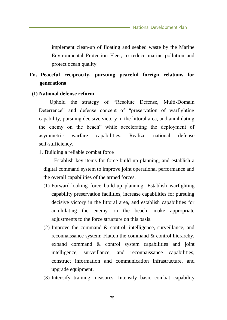implement clean-up of floating and seabed waste by the Marine Environmental Protection Fleet, to reduce marine pollution and protect ocean quality.

# **IV. Peaceful reciprocity, pursuing peaceful foreign relations for generations**

## **(I) National defense reform**

Uphold the strategy of "Resolute Defense, Multi-Domain Deterrence" and defense concept of "preservation of warfighting capability, pursuing decisive victory in the littoral area, and annihilating the enemy on the beach" while accelerating the deployment of asymmetric warfare capabilities. Realize national defense self-sufficiency.

1. Building a reliable combat force

Establish key items for force build-up planning, and establish a digital command system to improve joint operational performance and the overall capabilities of the armed forces.

- (1) Forward-looking force build-up planning: Establish warfighting capability preservation facilities, increase capabilities for pursuing decisive victory in the littoral area, and establish capabilities for annihilating the enemy on the beach; make appropriate adjustments to the force structure on this basis.
- (2) Improve the command & control, intelligence, surveillance, and reconnaissance system: Flatten the command & control hierarchy, expand command & control system capabilities and joint intelligence, surveillance, and reconnaissance capabilities, construct information and communication infrastructure, and upgrade equipment.
- (3) Intensify training measures: Intensify basic combat capability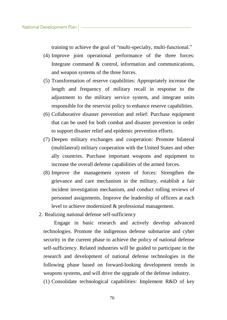training to achieve the goal of "multi-specialty, multi-functional."

- (4) Improve joint operational performance of the three forces: Integrate command & control, information and communications, and weapon systems of the three forces.
- (5) Transformation of reserve capabilities: Appropriately increase the length and frequency of military recall in response to the adjustment to the military service system, and integrate units responsible for the reservist policy to enhance reserve capabilities.
- (6) Collaborative disaster prevention and relief: Purchase equipment that can be used for both combat and disaster prevention in order to support disaster relief and epidemic prevention efforts.
- (7) Deepen military exchanges and cooperation: Promote bilateral (multilateral) military cooperation with the United States and other ally countries. Purchase important weapons and equipment to increase the overall defense capabilities of the armed forces.
- (8) Improve the management system of forces: Strengthen the grievance and care mechanism in the military, establish a fair incident investigation mechanism, and conduct rolling reviews of personnel assignments. Improve the leadership of officers at each level to achieve modernized & professional management.
- 2. Realizing national defense self-sufficiency

Engage in basic research and actively develop advanced technologies. Promote the indigenous defense submarine and cyber security in the current phase to achieve the policy of national defense self-sufficiency. Related industries will be guided to participate in the research and development of national defense technologies in the following phase based on forward-looking development trends in weapons systems, and will drive the upgrade of the defense industry.

(1) Consolidate technological capabilities: Implement R&D of key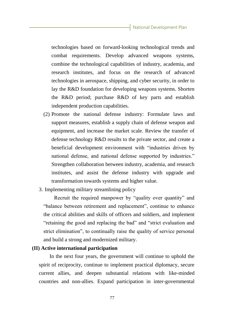technologies based on forward-looking technological trends and combat requirements. Develop advanced weapons systems, combine the technological capabilities of industry, academia, and research institutes, and focus on the research of advanced technologies in aerospace, shipping, and cyber security, in order to lay the R&D foundation for developing weapons systems. Shorten the R&D period; purchase R&D of key parts and establish independent production capabilities.

- (2) Promote the national defense industry: Formulate laws and support measures, establish a supply chain of defense weapon and equipment, and increase the market scale. Review the transfer of defense technology R&D results to the private sector, and create a beneficial development environment with "industries driven by national defense, and national defense supported by industries." Strengthen collaboration between industry, academia, and research institutes, and assist the defense industry with upgrade and transformation towards systems and higher value.
- 3. Implementing military streamlining policy

Recruit the required manpower by "quality over quantity" and "balance between retirement and replacement", continue to enhance the critical abilities and skills of officers and soldiers, and implement "retaining the good and replacing the bad" and "strict evaluation and strict elimination", to continually raise the quality of service personal and build a strong and modernized military.

## **(II) Active international participation**

In the next four years, the government will continue to uphold the spirit of reciprocity, continue to implement practical diplomacy, secure current allies, and deepen substantial relations with like-minded countries and non-allies. Expand participation in inter-governmental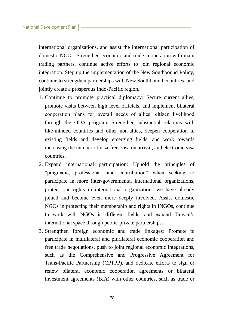international organizations, and assist the international participation of domestic NGOs. Strengthen economic and trade cooperation with main trading partners, continue active efforts to join regional economic integration. Step up the implementation of the New Southbound Policy, continue to strengthen partnerships with New Southbound countries, and jointly create a prosperous Indo-Pacific region.

- 1. Continue to promote practical diplomacy: Secure current allies, promote visits between high level officials, and implement bilateral cooperation plans for overall needs of allies' citizen livelihood through the ODA program. Strengthen substantial relations with like-minded countries and other non-allies, deepen cooperation in existing fields and develop emerging fields, and work towards increasing the number of visa-free, visa on arrival, and electronic visa countries.
- 2. Expand international participation: Uphold the principles of "pragmatic, professional, and contribution" when seeking to participate in more inter-governmental international organizations, protect our rights in international organizations we have already joined and become even more deeply involved. Assist domestic NGOs in protecting their membership and rights in INGOs, continue to work with NGOs in different fields, and expand Taiwan's international space through public-private partnerships.
- 3. Strengthen foreign economic and trade linkages: Promote to participate in multilateral and plurilateral economic cooperation and free trade negotiations, push to joint regional economic integrations, such as the Comprehensive and Progressive Agreement for Trans-Pacific Partnership (CPTPP), and dedicate efforts to sign or renew bilateral economic cooperation agreements or bilateral investment agreements (BIA) with other countries, such as trade or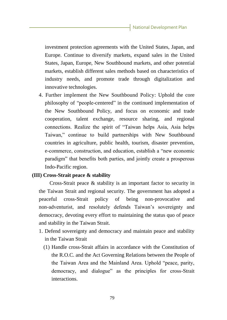investment protection agreements with the United States, Japan, and Europe. Continue to diversify markets, expand sales in the United States, Japan, Europe, New Southbound markets, and other potential markets, establish different sales methods based on characteristics of industry needs, and promote trade through digitalization and innovative technologies.

4. Further implement the New Southbound Policy: Uphold the core philosophy of "people-centered" in the continued implementation of the New Southbound Policy, and focus on economic and trade cooperation, talent exchange, resource sharing, and regional connections. Realize the spirit of "Taiwan helps Asia, Asia helps Taiwan," continue to build partnerships with New Southbound countries in agriculture, public health, tourism, disaster prevention, e-commerce, construction, and education, establish a "new economic paradigm" that benefits both parties, and jointly create a prosperous Indo-Pacific region.

## **(III) Cross-Strait peace & stability**

Cross-Strait peace & stability is an important factor to security in the Taiwan Strait and regional security. The government has adopted a peaceful cross-Strait policy of being non-provocative and non-adventurist, and resolutely defends Taiwan's sovereignty and democracy, devoting every effort to maintaining the status quo of peace and stability in the Taiwan Strait.

- 1. Defend sovereignty and democracy and maintain peace and stability in the Taiwan Strait
	- (1) Handle cross-Strait affairs in accordance with the Constitution of the R.O.C. and the Act Governing Relations between the People of the Taiwan Area and the Mainland Area. Uphold "peace, parity, democracy, and dialogue" as the principles for cross-Strait interactions.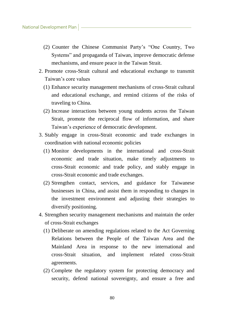- (2) Counter the Chinese Communist Party's "One Country, Two Systems" and propaganda of Taiwan, improve democratic defense mechanisms, and ensure peace in the Taiwan Strait.
- 2. Promote cross-Strait cultural and educational exchange to transmit Taiwan's core values
	- (1) Enhance security management mechanisms of cross-Strait cultural and educational exchange, and remind citizens of the risks of traveling to China.
	- (2) Increase interactions between young students across the Taiwan Strait, promote the reciprocal flow of information, and share Taiwan's experience of democratic development.
- 3. Stably engage in cross-Strait economic and trade exchanges in coordination with national economic policies
	- (1) Monitor developments in the international and cross-Strait economic and trade situation, make timely adjustments to cross-Strait economic and trade policy, and stably engage in cross-Strait economic and trade exchanges.
	- (2) Strengthen contact, services, and guidance for Taiwanese businesses in China, and assist them in responding to changes in the investment environment and adjusting their strategies to diversify positioning.
- 4. Strengthen security management mechanisms and maintain the order of cross-Strait exchanges
	- (1) Deliberate on amending regulations related to the Act Governing Relations between the People of the Taiwan Area and the Mainland Area in response to the new international and cross-Strait situation, and implement related cross-Strait agreements.
	- (2) Complete the regulatory system for protecting democracy and security, defend national sovereignty, and ensure a free and